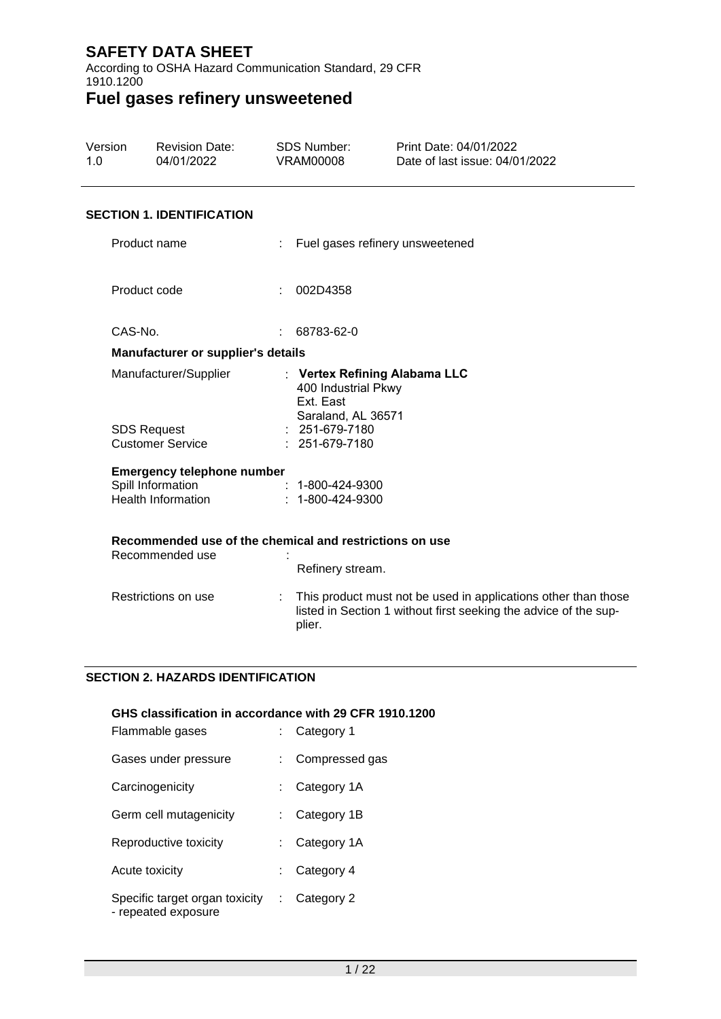$\overline{\phantom{0}}$ 

According to OSHA Hazard Communication Standard, 29 CFR 1910.1200

### **Fuel gases refinery unsweetened**

| Version<br>1.0 | <b>Revision Date:</b><br>04/01/2022            | <b>SDS Number:</b><br><b>VRAM00008</b>                  | Print Date: 04/01/2022<br>Date of last issue: 04/01/2022                                                                           |  |
|----------------|------------------------------------------------|---------------------------------------------------------|------------------------------------------------------------------------------------------------------------------------------------|--|
|                | <b>SECTION 1. IDENTIFICATION</b>               |                                                         |                                                                                                                                    |  |
|                | Product name                                   |                                                         | Fuel gases refinery unsweetened                                                                                                    |  |
|                | Product code                                   | 002D4358                                                |                                                                                                                                    |  |
| CAS-No.        |                                                | 68783-62-0                                              |                                                                                                                                    |  |
|                | Manufacturer or supplier's details             |                                                         |                                                                                                                                    |  |
|                | Manufacturer/Supplier                          | 400 Industrial Pkwy<br>Ext. East<br>Saraland, AL 36571  | : Vertex Refining Alabama LLC                                                                                                      |  |
|                | <b>SDS Request</b><br><b>Customer Service</b>  | : 251-679-7180<br>: 251-679-7180                        |                                                                                                                                    |  |
|                | <b>Emergency telephone number</b>              |                                                         |                                                                                                                                    |  |
|                | Spill Information<br><b>Health Information</b> | $: 1 - 800 - 424 - 9300$<br>$: 1 - 800 - 424 - 9300$    |                                                                                                                                    |  |
|                |                                                | Recommended use of the chemical and restrictions on use |                                                                                                                                    |  |
|                | Recommended use                                | Refinery stream.                                        |                                                                                                                                    |  |
|                | Restrictions on use                            | plier.                                                  | This product must not be used in applications other than those<br>listed in Section 1 without first seeking the advice of the sup- |  |

#### **SECTION 2. HAZARDS IDENTIFICATION**

# **GHS classification in accordance with 29 CFR 1910.1200** Flammable gases : Category 1 Gases under pressure : Compressed gas Carcinogenicity : Category 1A Germ cell mutagenicity : Category 1B Reproductive toxicity : Category 1A Acute toxicity **Example 20** access to Category 4 Specific target organ toxicity : Category 2- repeated exposure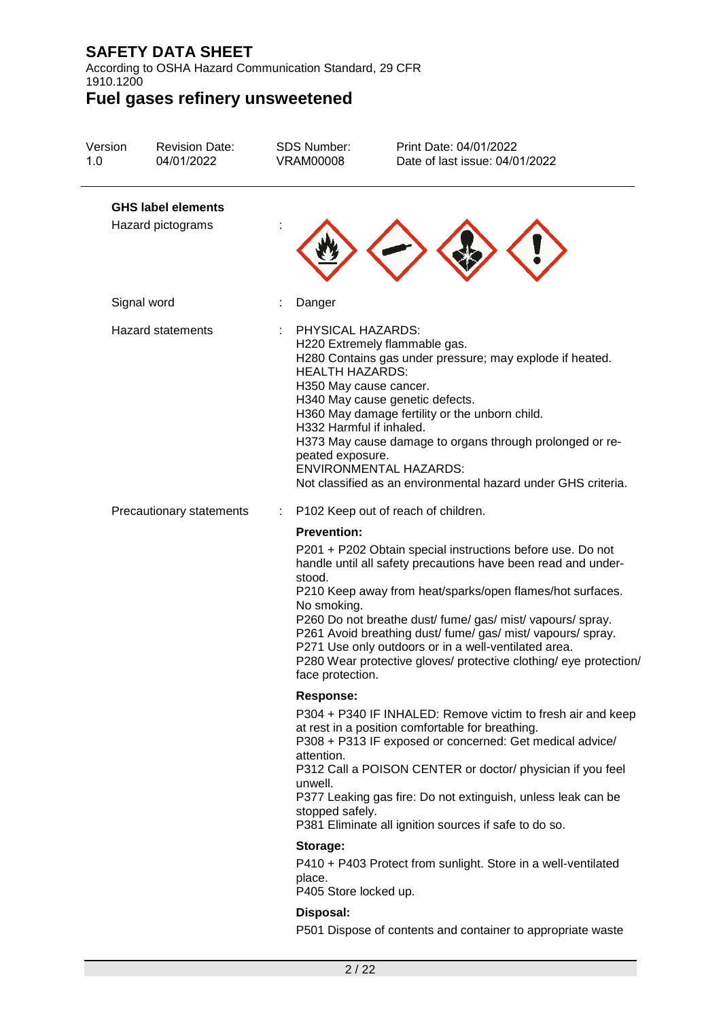According to OSHA Hazard Communication Standard, 29 CFR 1910.1200

**Fuel gases refinery unsweetened**

| Version<br>1.0 | <b>Revision Date:</b><br>04/01/2022            | <b>SDS Number:</b><br><b>VRAM00008</b>                                                                                | Print Date: 04/01/2022<br>Date of last issue: 04/01/2022                                                                                                                                                                                                                                                                                                                                                                                           |
|----------------|------------------------------------------------|-----------------------------------------------------------------------------------------------------------------------|----------------------------------------------------------------------------------------------------------------------------------------------------------------------------------------------------------------------------------------------------------------------------------------------------------------------------------------------------------------------------------------------------------------------------------------------------|
|                | <b>GHS label elements</b><br>Hazard pictograms |                                                                                                                       |                                                                                                                                                                                                                                                                                                                                                                                                                                                    |
|                | Signal word                                    | Danger                                                                                                                |                                                                                                                                                                                                                                                                                                                                                                                                                                                    |
|                | <b>Hazard statements</b>                       | PHYSICAL HAZARDS:<br><b>HEALTH HAZARDS:</b><br>H350 May cause cancer.<br>H332 Harmful if inhaled.<br>peated exposure. | H220 Extremely flammable gas.<br>H280 Contains gas under pressure; may explode if heated.<br>H340 May cause genetic defects.<br>H360 May damage fertility or the unborn child.<br>H373 May cause damage to organs through prolonged or re-<br><b>ENVIRONMENTAL HAZARDS:</b><br>Not classified as an environmental hazard under GHS criteria.                                                                                                       |
|                | Precautionary statements                       | ÷                                                                                                                     | P102 Keep out of reach of children.                                                                                                                                                                                                                                                                                                                                                                                                                |
|                |                                                | <b>Prevention:</b><br>stood.<br>No smoking.<br>face protection.                                                       | P201 + P202 Obtain special instructions before use. Do not<br>handle until all safety precautions have been read and under-<br>P210 Keep away from heat/sparks/open flames/hot surfaces.<br>P260 Do not breathe dust/ fume/ gas/ mist/ vapours/ spray.<br>P261 Avoid breathing dust/ fume/ gas/ mist/ vapours/ spray.<br>P271 Use only outdoors or in a well-ventilated area.<br>P280 Wear protective gloves/ protective clothing/ eye protection/ |
|                |                                                | Response:<br>attention.<br>unwell.<br>stopped safely.                                                                 | P304 + P340 IF INHALED: Remove victim to fresh air and keep<br>at rest in a position comfortable for breathing.<br>P308 + P313 IF exposed or concerned: Get medical advice/<br>P312 Call a POISON CENTER or doctor/ physician if you feel<br>P377 Leaking gas fire: Do not extinguish, unless leak can be<br>P381 Eliminate all ignition sources if safe to do so.                                                                                 |
|                |                                                | Storage:                                                                                                              |                                                                                                                                                                                                                                                                                                                                                                                                                                                    |
|                |                                                | place.<br>P405 Store locked up.                                                                                       | P410 + P403 Protect from sunlight. Store in a well-ventilated                                                                                                                                                                                                                                                                                                                                                                                      |
|                |                                                | Disposal:                                                                                                             |                                                                                                                                                                                                                                                                                                                                                                                                                                                    |
|                |                                                |                                                                                                                       | P501 Dispose of contents and container to appropriate waste                                                                                                                                                                                                                                                                                                                                                                                        |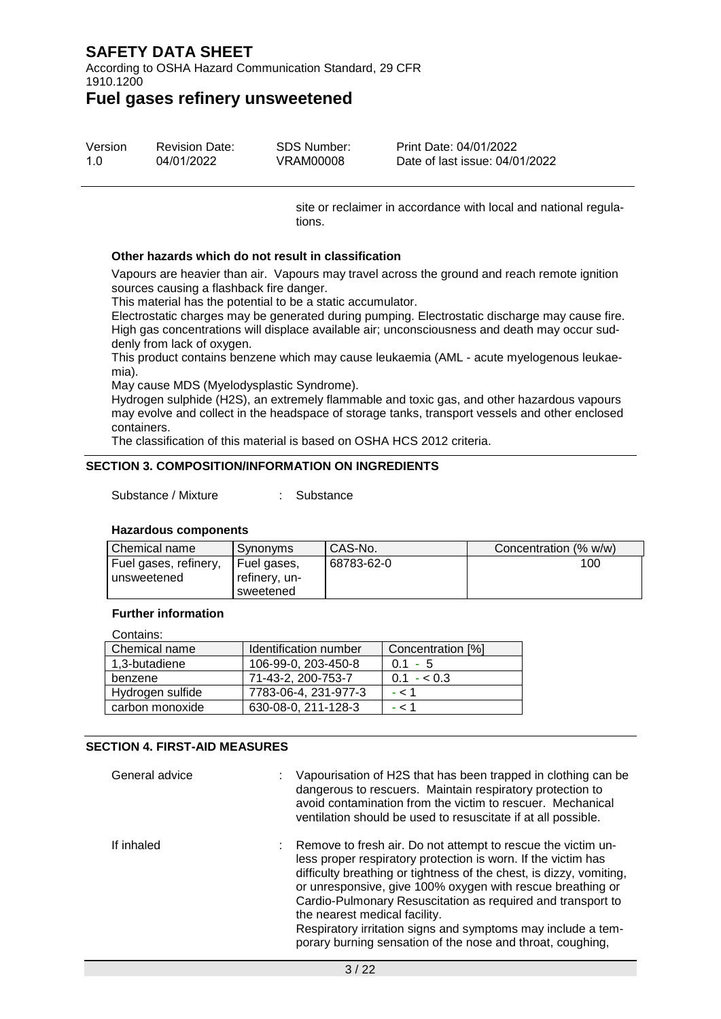According to OSHA Hazard Communication Standard, 29 CFR 1910.1200

**Fuel gases refinery unsweetened**

| Version | <b>Revision Date:</b> | SDS Number: | Print Date: 04/01/2022         |
|---------|-----------------------|-------------|--------------------------------|
| 1.0     | 04/01/2022            | VRAM00008   | Date of last issue: 04/01/2022 |

site or reclaimer in accordance with local and national regulations.

#### **Other hazards which do not result in classification**

Vapours are heavier than air. Vapours may travel across the ground and reach remote ignition sources causing a flashback fire danger.

This material has the potential to be a static accumulator.

Electrostatic charges may be generated during pumping. Electrostatic discharge may cause fire. High gas concentrations will displace available air; unconsciousness and death may occur suddenly from lack of oxygen.

This product contains benzene which may cause leukaemia (AML - acute myelogenous leukaemia).

May cause MDS (Myelodysplastic Syndrome).

Hydrogen sulphide (H2S), an extremely flammable and toxic gas, and other hazardous vapours may evolve and collect in the headspace of storage tanks, transport vessels and other enclosed containers.

The classification of this material is based on OSHA HCS 2012 criteria.

#### **SECTION 3. COMPOSITION/INFORMATION ON INGREDIENTS**

Substance / Mixture : Substance

#### **Hazardous components**

| Chemical name         | Synonyms      | CAS-No.    | Concentration (% w/w) |
|-----------------------|---------------|------------|-----------------------|
| Fuel gases, refinery, | Fuel gases,   | 68783-62-0 | 100                   |
| unsweetened           | refinery, un- |            |                       |
|                       | sweetened     |            |                       |

### **Further information**

| Identification number | Concentration [%] |
|-----------------------|-------------------|
| 106-99-0, 203-450-8   | $0.1 - 5$         |
| 71-43-2, 200-753-7    | $0.1 - < 0.3$     |
| 7783-06-4, 231-977-3  | $- < 1$           |
| 630-08-0, 211-128-3   | $- < 1$           |
|                       |                   |

#### **SECTION 4. FIRST-AID MEASURES**

| General advice | Vapourisation of H2S that has been trapped in clothing can be<br>dangerous to rescuers. Maintain respiratory protection to<br>avoid contamination from the victim to rescuer. Mechanical<br>ventilation should be used to resuscitate if at all possible.                                                                                                                                                                                                                                          |
|----------------|----------------------------------------------------------------------------------------------------------------------------------------------------------------------------------------------------------------------------------------------------------------------------------------------------------------------------------------------------------------------------------------------------------------------------------------------------------------------------------------------------|
| If inhaled     | : Remove to fresh air. Do not attempt to rescue the victim un-<br>less proper respiratory protection is worn. If the victim has<br>difficulty breathing or tightness of the chest, is dizzy, vomiting,<br>or unresponsive, give 100% oxygen with rescue breathing or<br>Cardio-Pulmonary Resuscitation as required and transport to<br>the nearest medical facility.<br>Respiratory irritation signs and symptoms may include a tem-<br>porary burning sensation of the nose and throat, coughing, |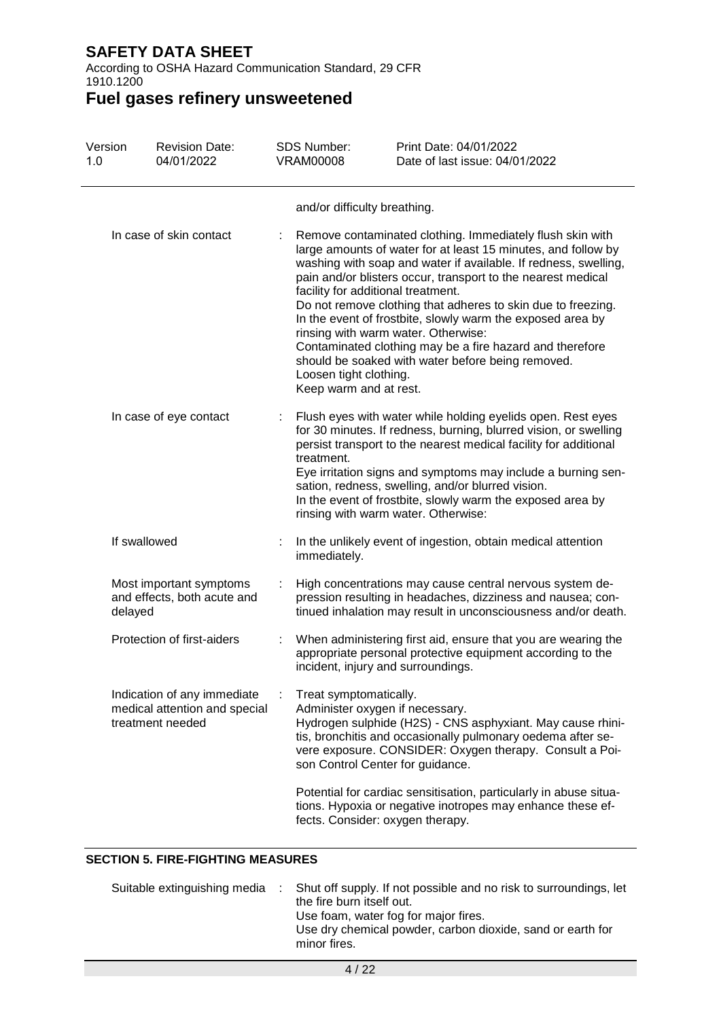According to OSHA Hazard Communication Standard, 29 CFR 1910.1200

**Fuel gases refinery unsweetened**

| Version<br>1.0 | <b>Revision Date:</b><br>04/01/2022                                              |   | <b>SDS Number:</b><br><b>VRAM00008</b>                                                        | Print Date: 04/01/2022<br>Date of last issue: 04/01/2022                                                                                                                                                                                                                                                                                                                                                                                                                                                                                            |
|----------------|----------------------------------------------------------------------------------|---|-----------------------------------------------------------------------------------------------|-----------------------------------------------------------------------------------------------------------------------------------------------------------------------------------------------------------------------------------------------------------------------------------------------------------------------------------------------------------------------------------------------------------------------------------------------------------------------------------------------------------------------------------------------------|
|                |                                                                                  |   | and/or difficulty breathing.                                                                  |                                                                                                                                                                                                                                                                                                                                                                                                                                                                                                                                                     |
|                | In case of skin contact                                                          |   | facility for additional treatment.<br>Loosen tight clothing.<br>Keep warm and at rest.        | Remove contaminated clothing. Immediately flush skin with<br>large amounts of water for at least 15 minutes, and follow by<br>washing with soap and water if available. If redness, swelling,<br>pain and/or blisters occur, transport to the nearest medical<br>Do not remove clothing that adheres to skin due to freezing.<br>In the event of frostbite, slowly warm the exposed area by<br>rinsing with warm water. Otherwise:<br>Contaminated clothing may be a fire hazard and therefore<br>should be soaked with water before being removed. |
|                | In case of eye contact                                                           |   | treatment.                                                                                    | Flush eyes with water while holding eyelids open. Rest eyes<br>for 30 minutes. If redness, burning, blurred vision, or swelling<br>persist transport to the nearest medical facility for additional<br>Eye irritation signs and symptoms may include a burning sen-<br>sation, redness, swelling, and/or blurred vision.<br>In the event of frostbite, slowly warm the exposed area by<br>rinsing with warm water. Otherwise:                                                                                                                       |
|                | If swallowed                                                                     |   | immediately.                                                                                  | In the unlikely event of ingestion, obtain medical attention                                                                                                                                                                                                                                                                                                                                                                                                                                                                                        |
|                | Most important symptoms<br>and effects, both acute and<br>delayed                | ÷ |                                                                                               | High concentrations may cause central nervous system de-<br>pression resulting in headaches, dizziness and nausea; con-<br>tinued inhalation may result in unconsciousness and/or death.                                                                                                                                                                                                                                                                                                                                                            |
|                | Protection of first-aiders                                                       | ÷ | incident, injury and surroundings.                                                            | When administering first aid, ensure that you are wearing the<br>appropriate personal protective equipment according to the                                                                                                                                                                                                                                                                                                                                                                                                                         |
|                | Indication of any immediate<br>medical attention and special<br>treatment needed |   | Treat symptomatically.<br>Administer oxygen if necessary.<br>son Control Center for guidance. | Hydrogen sulphide (H2S) - CNS asphyxiant. May cause rhini-<br>tis, bronchitis and occasionally pulmonary oedema after se-<br>vere exposure. CONSIDER: Oxygen therapy. Consult a Poi-                                                                                                                                                                                                                                                                                                                                                                |
|                |                                                                                  |   | fects. Consider: oxygen therapy.                                                              | Potential for cardiac sensitisation, particularly in abuse situa-<br>tions. Hypoxia or negative inotropes may enhance these ef-                                                                                                                                                                                                                                                                                                                                                                                                                     |

### **SECTION 5. FIRE-FIGHTING MEASURES**

| Suitable extinguishing media |  | Shut off supply. If not possible and no risk to surroundings, let<br>the fire burn itself out.<br>Use foam, water fog for major fires.<br>Use dry chemical powder, carbon dioxide, sand or earth for<br>minor fires. |
|------------------------------|--|----------------------------------------------------------------------------------------------------------------------------------------------------------------------------------------------------------------------|
|------------------------------|--|----------------------------------------------------------------------------------------------------------------------------------------------------------------------------------------------------------------------|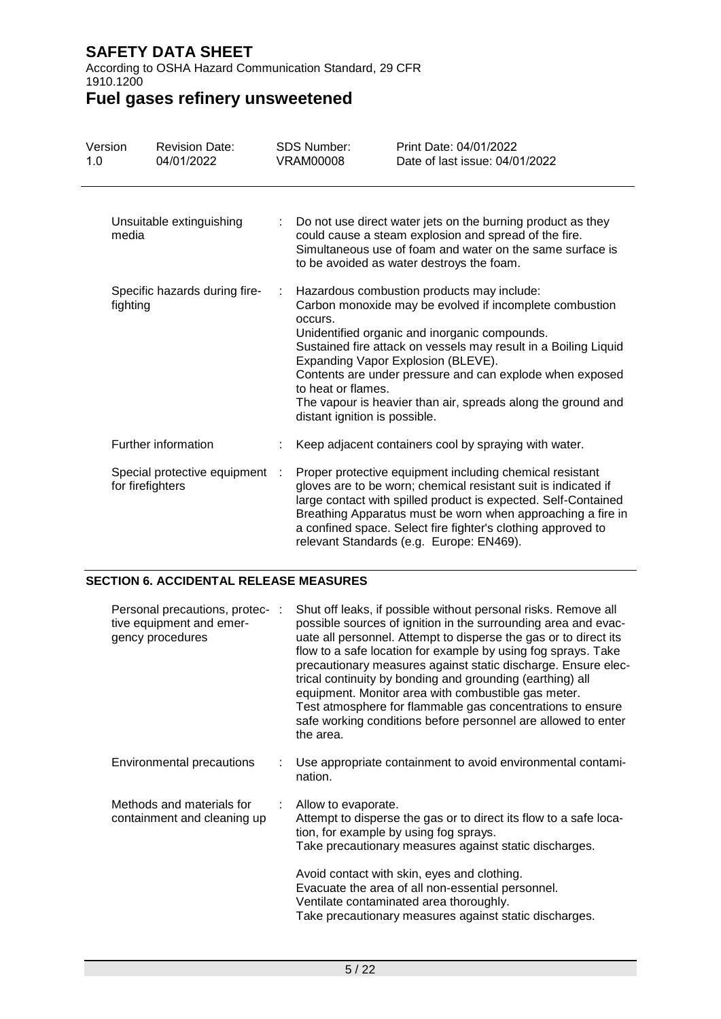According to OSHA Hazard Communication Standard, 29 CFR 1910.1200

# **Fuel gases refinery unsweetened**

| Version<br>1.0 | <b>Revision Date:</b><br>04/01/2022              | <b>SDS Number:</b><br><b>VRAM00008</b>                         | Print Date: 04/01/2022<br>Date of last issue: 04/01/2022                                                                                                                                                                                                                                                                                                                                    |
|----------------|--------------------------------------------------|----------------------------------------------------------------|---------------------------------------------------------------------------------------------------------------------------------------------------------------------------------------------------------------------------------------------------------------------------------------------------------------------------------------------------------------------------------------------|
|                | Unsuitable extinguishing<br>media                |                                                                | Do not use direct water jets on the burning product as they<br>could cause a steam explosion and spread of the fire.<br>Simultaneous use of foam and water on the same surface is<br>to be avoided as water destroys the foam.                                                                                                                                                              |
|                | Specific hazards during fire-<br>fighting        | occurs.<br>to heat or flames.<br>distant ignition is possible. | Hazardous combustion products may include:<br>Carbon monoxide may be evolved if incomplete combustion<br>Unidentified organic and inorganic compounds.<br>Sustained fire attack on vessels may result in a Boiling Liquid<br>Expanding Vapor Explosion (BLEVE).<br>Contents are under pressure and can explode when exposed<br>The vapour is heavier than air, spreads along the ground and |
|                | Further information                              |                                                                | Keep adjacent containers cool by spraying with water.                                                                                                                                                                                                                                                                                                                                       |
|                | Special protective equipment<br>for firefighters |                                                                | Proper protective equipment including chemical resistant<br>gloves are to be worn; chemical resistant suit is indicated if<br>large contact with spilled product is expected. Self-Contained<br>Breathing Apparatus must be worn when approaching a fire in<br>a confined space. Select fire fighter's clothing approved to<br>relevant Standards (e.g. Europe: EN469).                     |

#### **SECTION 6. ACCIDENTAL RELEASE MEASURES**

| Personal precautions, protec- :<br>tive equipment and emer-<br>gency procedures |    | Shut off leaks, if possible without personal risks. Remove all<br>possible sources of ignition in the surrounding area and evac-<br>uate all personnel. Attempt to disperse the gas or to direct its<br>flow to a safe location for example by using fog sprays. Take<br>precautionary measures against static discharge. Ensure elec-<br>trical continuity by bonding and grounding (earthing) all<br>equipment. Monitor area with combustible gas meter.<br>Test atmosphere for flammable gas concentrations to ensure<br>safe working conditions before personnel are allowed to enter<br>the area. |
|---------------------------------------------------------------------------------|----|--------------------------------------------------------------------------------------------------------------------------------------------------------------------------------------------------------------------------------------------------------------------------------------------------------------------------------------------------------------------------------------------------------------------------------------------------------------------------------------------------------------------------------------------------------------------------------------------------------|
| Environmental precautions                                                       |    | Use appropriate containment to avoid environmental contami-<br>nation.                                                                                                                                                                                                                                                                                                                                                                                                                                                                                                                                 |
| Methods and materials for<br>containment and cleaning up                        | ÷. | Allow to evaporate.<br>Attempt to disperse the gas or to direct its flow to a safe loca-<br>tion, for example by using fog sprays.<br>Take precautionary measures against static discharges.                                                                                                                                                                                                                                                                                                                                                                                                           |
|                                                                                 |    | Avoid contact with skin, eyes and clothing.<br>Evacuate the area of all non-essential personnel.<br>Ventilate contaminated area thoroughly.<br>Take precautionary measures against static discharges.                                                                                                                                                                                                                                                                                                                                                                                                  |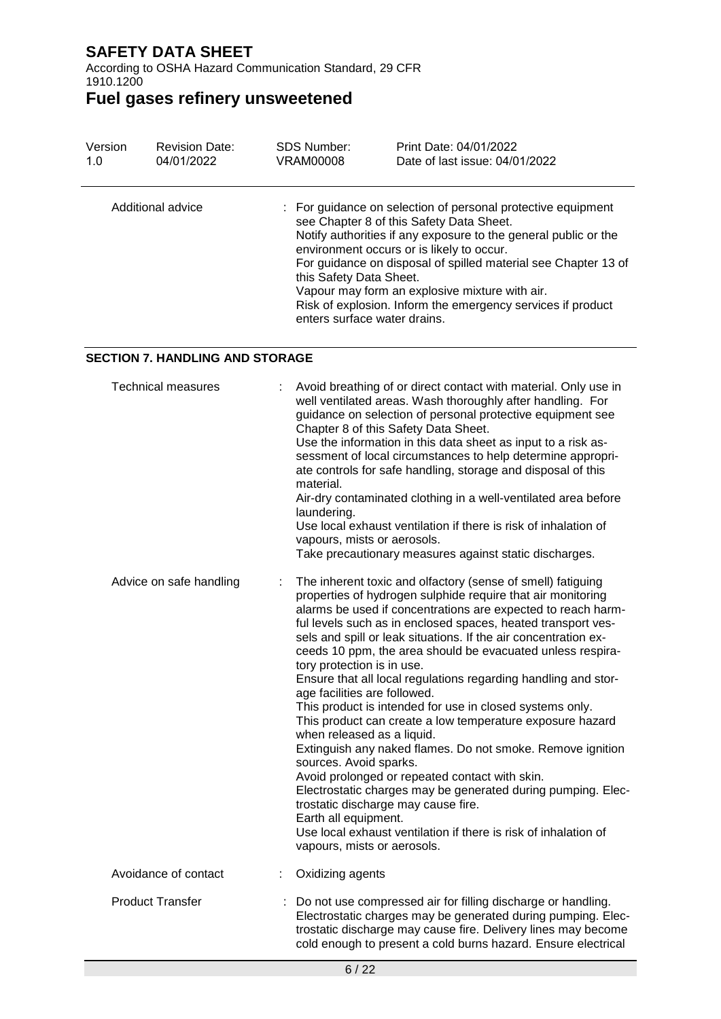According to OSHA Hazard Communication Standard, 29 CFR 1910.1200

# **Fuel gases refinery unsweetened**

| Version | <b>Revision Date:</b> | SDS Number:                                             | Print Date: 04/01/2022                                                                                                                                                                                                                                                                                                                                                                                      |
|---------|-----------------------|---------------------------------------------------------|-------------------------------------------------------------------------------------------------------------------------------------------------------------------------------------------------------------------------------------------------------------------------------------------------------------------------------------------------------------------------------------------------------------|
| 1.0     | 04/01/2022            | VRAM00008                                               | Date of last issue: 04/01/2022                                                                                                                                                                                                                                                                                                                                                                              |
|         | Additional advice     | this Safety Data Sheet.<br>enters surface water drains. | : For guidance on selection of personal protective equipment<br>see Chapter 8 of this Safety Data Sheet.<br>Notify authorities if any exposure to the general public or the<br>environment occurs or is likely to occur.<br>For guidance on disposal of spilled material see Chapter 13 of<br>Vapour may form an explosive mixture with air.<br>Risk of explosion. Inform the emergency services if product |

#### **SECTION 7. HANDLING AND STORAGE**

| <b>Technical measures</b> |    | Avoid breathing of or direct contact with material. Only use in<br>well ventilated areas. Wash thoroughly after handling. For<br>guidance on selection of personal protective equipment see<br>Chapter 8 of this Safety Data Sheet.<br>Use the information in this data sheet as input to a risk as-<br>sessment of local circumstances to help determine appropri-<br>ate controls for safe handling, storage and disposal of this<br>material.<br>Air-dry contaminated clothing in a well-ventilated area before<br>laundering.<br>Use local exhaust ventilation if there is risk of inhalation of<br>vapours, mists or aerosols.<br>Take precautionary measures against static discharges.                                                                                                                                                                                                                                                                                                                                                                 |
|---------------------------|----|---------------------------------------------------------------------------------------------------------------------------------------------------------------------------------------------------------------------------------------------------------------------------------------------------------------------------------------------------------------------------------------------------------------------------------------------------------------------------------------------------------------------------------------------------------------------------------------------------------------------------------------------------------------------------------------------------------------------------------------------------------------------------------------------------------------------------------------------------------------------------------------------------------------------------------------------------------------------------------------------------------------------------------------------------------------|
| Advice on safe handling   | ÷. | The inherent toxic and olfactory (sense of smell) fatiguing<br>properties of hydrogen sulphide require that air monitoring<br>alarms be used if concentrations are expected to reach harm-<br>ful levels such as in enclosed spaces, heated transport ves-<br>sels and spill or leak situations. If the air concentration ex-<br>ceeds 10 ppm, the area should be evacuated unless respira-<br>tory protection is in use.<br>Ensure that all local regulations regarding handling and stor-<br>age facilities are followed.<br>This product is intended for use in closed systems only.<br>This product can create a low temperature exposure hazard<br>when released as a liquid.<br>Extinguish any naked flames. Do not smoke. Remove ignition<br>sources. Avoid sparks.<br>Avoid prolonged or repeated contact with skin.<br>Electrostatic charges may be generated during pumping. Elec-<br>trostatic discharge may cause fire.<br>Earth all equipment.<br>Use local exhaust ventilation if there is risk of inhalation of<br>vapours, mists or aerosols. |
| Avoidance of contact      |    | Oxidizing agents                                                                                                                                                                                                                                                                                                                                                                                                                                                                                                                                                                                                                                                                                                                                                                                                                                                                                                                                                                                                                                              |
| <b>Product Transfer</b>   |    | Do not use compressed air for filling discharge or handling.<br>Electrostatic charges may be generated during pumping. Elec-<br>trostatic discharge may cause fire. Delivery lines may become<br>cold enough to present a cold burns hazard. Ensure electrical                                                                                                                                                                                                                                                                                                                                                                                                                                                                                                                                                                                                                                                                                                                                                                                                |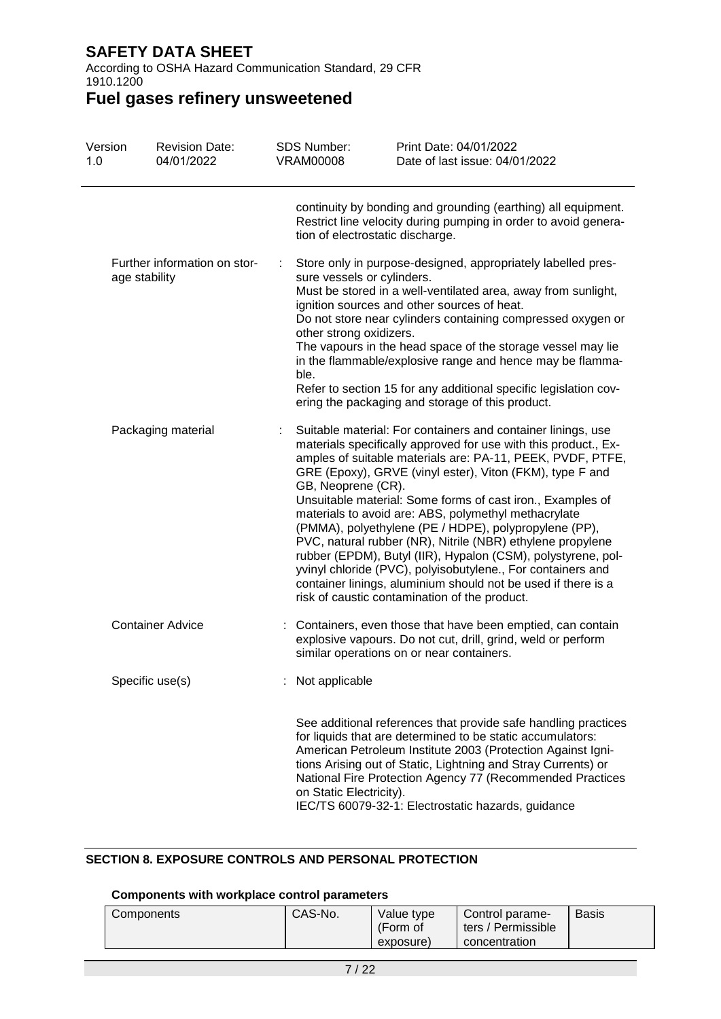According to OSHA Hazard Communication Standard, 29 CFR 1910.1200

### **Fuel gases refinery unsweetened**

| Version<br>1.0     | <b>Revision Date:</b><br>04/01/2022           | <b>SDS Number:</b><br><b>VRAM00008</b> | Print Date: 04/01/2022<br>Date of last issue: 04/01/2022                                                                                                                                                                                                                                                                                                                                                                                                                                                                                                                                                                                                                                                                                                |
|--------------------|-----------------------------------------------|----------------------------------------|---------------------------------------------------------------------------------------------------------------------------------------------------------------------------------------------------------------------------------------------------------------------------------------------------------------------------------------------------------------------------------------------------------------------------------------------------------------------------------------------------------------------------------------------------------------------------------------------------------------------------------------------------------------------------------------------------------------------------------------------------------|
|                    |                                               |                                        | continuity by bonding and grounding (earthing) all equipment.<br>Restrict line velocity during pumping in order to avoid genera-<br>tion of electrostatic discharge.                                                                                                                                                                                                                                                                                                                                                                                                                                                                                                                                                                                    |
|                    | Further information on stor-<br>age stability | other strong oxidizers.<br>ble.        | Store only in purpose-designed, appropriately labelled pres-<br>sure vessels or cylinders.<br>Must be stored in a well-ventilated area, away from sunlight,<br>ignition sources and other sources of heat.<br>Do not store near cylinders containing compressed oxygen or<br>The vapours in the head space of the storage vessel may lie<br>in the flammable/explosive range and hence may be flamma-<br>Refer to section 15 for any additional specific legislation cov-<br>ering the packaging and storage of this product.                                                                                                                                                                                                                           |
| Packaging material |                                               | GB, Neoprene (CR).                     | Suitable material: For containers and container linings, use<br>materials specifically approved for use with this product., Ex-<br>amples of suitable materials are: PA-11, PEEK, PVDF, PTFE,<br>GRE (Epoxy), GRVE (vinyl ester), Viton (FKM), type F and<br>Unsuitable material: Some forms of cast iron., Examples of<br>materials to avoid are: ABS, polymethyl methacrylate<br>(PMMA), polyethylene (PE / HDPE), polypropylene (PP),<br>PVC, natural rubber (NR), Nitrile (NBR) ethylene propylene<br>rubber (EPDM), Butyl (IIR), Hypalon (CSM), polystyrene, pol-<br>yvinyl chloride (PVC), polyisobutylene., For containers and<br>container linings, aluminium should not be used if there is a<br>risk of caustic contamination of the product. |
|                    | <b>Container Advice</b>                       |                                        | Containers, even those that have been emptied, can contain<br>explosive vapours. Do not cut, drill, grind, weld or perform<br>similar operations on or near containers.                                                                                                                                                                                                                                                                                                                                                                                                                                                                                                                                                                                 |
|                    | Specific use(s)                               | Not applicable                         |                                                                                                                                                                                                                                                                                                                                                                                                                                                                                                                                                                                                                                                                                                                                                         |
|                    |                                               | on Static Electricity).                | See additional references that provide safe handling practices<br>for liquids that are determined to be static accumulators:<br>American Petroleum Institute 2003 (Protection Against Igni-<br>tions Arising out of Static, Lightning and Stray Currents) or<br>National Fire Protection Agency 77 (Recommended Practices<br>IEC/TS 60079-32-1: Electrostatic hazards, guidance                                                                                                                                                                                                                                                                                                                                                                         |

### **SECTION 8. EXPOSURE CONTROLS AND PERSONAL PROTECTION**

### **Components with workplace control parameters**

| Components | CAS-No. | Value type<br>(Form of<br>exposure) | Control parame-<br>ters / Permissible<br>concentration | <b>Basis</b> |
|------------|---------|-------------------------------------|--------------------------------------------------------|--------------|
|------------|---------|-------------------------------------|--------------------------------------------------------|--------------|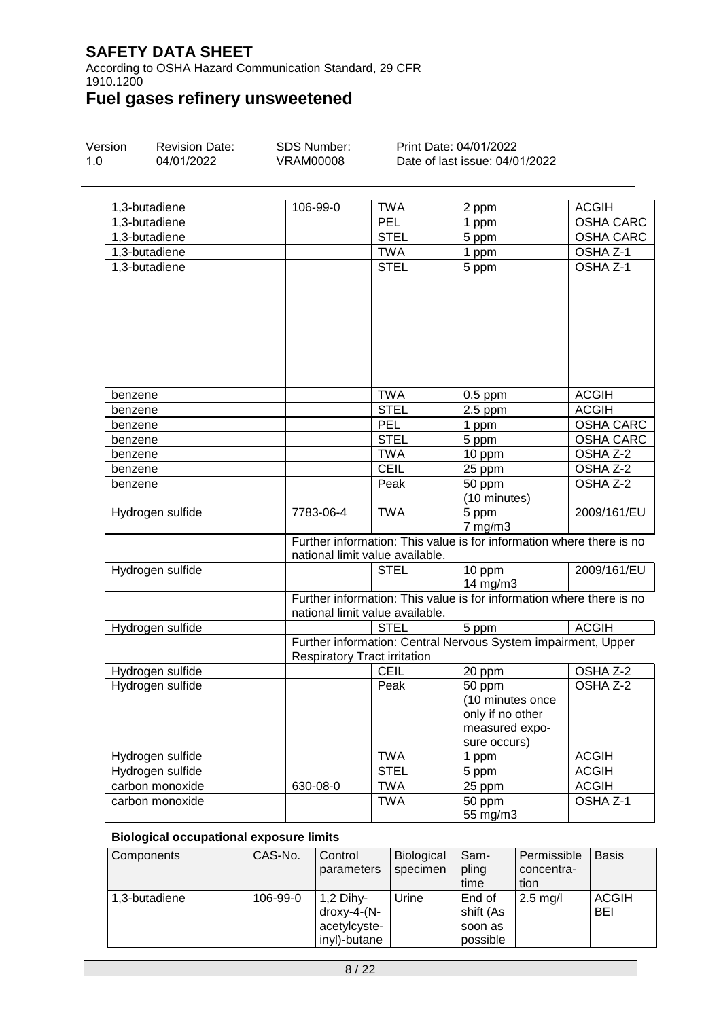According to OSHA Hazard Communication Standard, 29 CFR 1910.1200

# **Fuel gases refinery unsweetened**

| Version<br><b>Revision Date:</b><br>1.0<br>04/01/2022 |                  | SDS Number:<br><b>VRAM00008</b>     |                                 | Print Date: 04/01/2022<br>Date of last issue: 04/01/2022             |                  |
|-------------------------------------------------------|------------------|-------------------------------------|---------------------------------|----------------------------------------------------------------------|------------------|
|                                                       |                  |                                     |                                 |                                                                      |                  |
|                                                       | 1,3-butadiene    | 106-99-0                            | <b>TWA</b>                      | 2 ppm                                                                | <b>ACGIH</b>     |
|                                                       | 1,3-butadiene    |                                     | PEL                             | 1 ppm                                                                | <b>OSHA CARC</b> |
|                                                       | 1,3-butadiene    |                                     | <b>STEL</b>                     | 5 ppm                                                                | <b>OSHA CARC</b> |
|                                                       | 1,3-butadiene    |                                     | <b>TWA</b>                      | 1 ppm                                                                | OSHA Z-1         |
|                                                       | $1,3$ -butadiene |                                     | <b>STEL</b>                     | 5 ppm                                                                | OSHA Z-1         |
|                                                       |                  |                                     |                                 |                                                                      |                  |
|                                                       |                  |                                     |                                 |                                                                      |                  |
|                                                       |                  |                                     |                                 |                                                                      |                  |
|                                                       |                  |                                     |                                 |                                                                      |                  |
|                                                       |                  |                                     |                                 |                                                                      |                  |
|                                                       |                  |                                     |                                 |                                                                      |                  |
|                                                       |                  |                                     |                                 |                                                                      |                  |
| benzene                                               |                  |                                     | <b>TWA</b>                      | $0.5$ ppm                                                            | <b>ACGIH</b>     |
| benzene                                               |                  |                                     | <b>STEL</b>                     | $2.5$ ppm                                                            | <b>ACGIH</b>     |
| benzene                                               |                  |                                     | PEL                             | 1 ppm                                                                | <b>OSHA CARC</b> |
| benzene                                               |                  |                                     | <b>STEL</b>                     | 5 ppm                                                                | <b>OSHA CARC</b> |
| benzene                                               |                  |                                     | <b>TWA</b>                      | 10 ppm                                                               | OSHA Z-2         |
| benzene                                               |                  |                                     | <b>CEIL</b>                     | 25 ppm                                                               | OSHA Z-2         |
| benzene                                               |                  |                                     | Peak                            | 50 ppm                                                               | OSHA Z-2         |
|                                                       |                  |                                     |                                 | (10 minutes)                                                         |                  |
|                                                       | Hydrogen sulfide | 7783-06-4                           | <b>TWA</b>                      | 5 ppm                                                                | 2009/161/EU      |
|                                                       |                  |                                     |                                 | $7$ mg/m $3$                                                         |                  |
|                                                       |                  |                                     |                                 | Further information: This value is for information where there is no |                  |
|                                                       |                  |                                     | national limit value available. |                                                                      |                  |
|                                                       | Hydrogen sulfide |                                     | <b>STEL</b>                     | 10 ppm                                                               | 2009/161/EU      |
|                                                       |                  |                                     |                                 | 14 mg/m3                                                             |                  |
|                                                       |                  |                                     |                                 | Further information: This value is for information where there is no |                  |
|                                                       |                  |                                     | national limit value available. |                                                                      |                  |
|                                                       | Hydrogen sulfide |                                     | <b>STEL</b>                     | 5 ppm                                                                | <b>ACGIH</b>     |
|                                                       |                  |                                     |                                 | Further information: Central Nervous System impairment, Upper        |                  |
|                                                       |                  | <b>Respiratory Tract irritation</b> |                                 |                                                                      |                  |
|                                                       | Hydrogen sulfide |                                     | <b>CEIL</b>                     | 20 ppm                                                               | OSHA Z-2         |

#### **Biological occupational exposure limits**

| Components    | CAS-No.  | Control                | <b>Biological</b> | Sam-      | Permissible        | <b>Basis</b> |
|---------------|----------|------------------------|-------------------|-----------|--------------------|--------------|
|               |          | parameters             | specimen          | pling     | concentra-         |              |
|               |          |                        |                   | time      | tion               |              |
| 1,3-butadiene | 106-99-0 | $1,2$ Dihy-            | Urine             | End of    | $2.5 \text{ mg/l}$ | <b>ACGIH</b> |
|               |          | $\frac{div}{y-4}$ -(N- |                   | shift (As |                    | <b>BEI</b>   |
|               |          | acetylcyste-           |                   | soon as   |                    |              |
|               |          | inyl)-butane           |                   | possible  |                    |              |

Hydrogen sulfide CEIL 20 ppm OSHA Z-2

Hydrogen sulfide TWA 1 ppm ACGIH Hydrogen sulfide  $\vert$  STEL 5 ppm  $\vert$  ACGIH carbon monoxide 630-08-0 TWA 25 ppm ACGIH

(10 minutes once only if no other measured exposure occurs)

55 mg/m3

OSHA Z-2

OSHA Z-1

Hydrogen sulfide **Peak** 50 ppm

carbon monoxide <br>
TWA 50 ppm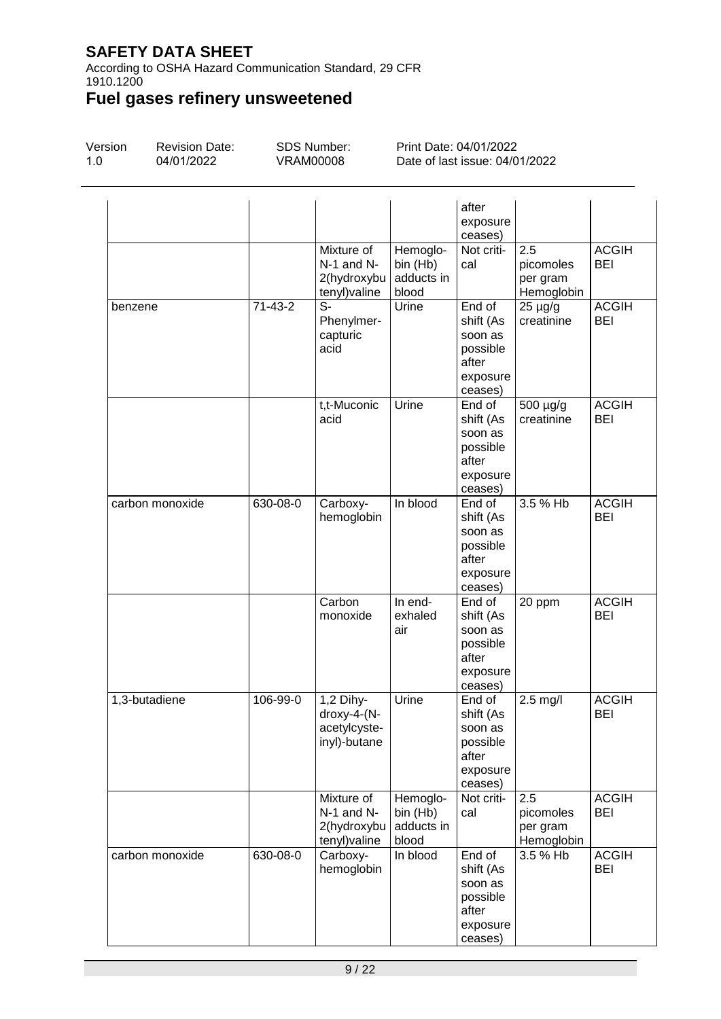According to OSHA Hazard Communication Standard, 29 CFR 1910.1200

# **Fuel gases refinery unsweetened**

| Version | <b>Revision Date:</b> | SDS Number: | Print Date: 04/01/2022         |
|---------|-----------------------|-------------|--------------------------------|
| 1.0     | 04/01/2022            | VRAM00008   | Date of last issue: 04/01/2022 |
|         |                       |             | after<br>exposure              |

 $\begin{array}{ccc} \hline \end{array}$ 

|                 |          |                                                                |                                             | ceases)                                                                    |                                            |                            |
|-----------------|----------|----------------------------------------------------------------|---------------------------------------------|----------------------------------------------------------------------------|--------------------------------------------|----------------------------|
|                 |          | Mixture of<br>N-1 and N-<br>2(hydroxybu<br>tenyl) valine       | Hemoglo-<br>bin (Hb)<br>adducts in<br>blood | Not criti-<br>cal                                                          | 2.5<br>picomoles<br>per gram<br>Hemoglobin | <b>ACGIH</b><br><b>BEI</b> |
| benzene         | 71-43-2  | $S-$<br>Phenylmer-<br>capturic<br>acid                         | Urine                                       | End of<br>shift (As<br>soon as<br>possible<br>after<br>exposure<br>ceases) | $25 \mu g/g$<br>creatinine                 | <b>ACGIH</b><br><b>BEI</b> |
|                 |          | t,t-Muconic<br>acid                                            | Urine                                       | End of<br>shift (As<br>soon as<br>possible<br>after<br>exposure<br>ceases) | 500 µg/g<br>creatinine                     | <b>ACGIH</b><br><b>BEI</b> |
| carbon monoxide | 630-08-0 | Carboxy-<br>hemoglobin                                         | In blood                                    | End of<br>shift (As<br>soon as<br>possible<br>after<br>exposure<br>ceases) | 3.5 % Hb                                   | <b>ACGIH</b><br><b>BEI</b> |
|                 |          | Carbon<br>monoxide                                             | In end-<br>exhaled<br>air                   | End of<br>shift (As<br>soon as<br>possible<br>after<br>exposure<br>ceases) | 20 ppm                                     | <b>ACGIH</b><br><b>BEI</b> |
| 1,3-butadiene   | 106-99-0 | 1,2 Dihy-<br>$d$ roxy-4- $(N-$<br>acetylcyste-<br>inyl)-butane | Urine                                       | End of<br>shift (As<br>soon as<br>possible<br>after<br>exposure<br>ceases) | $2.5$ mg/l                                 | <b>ACGIH</b><br><b>BEI</b> |
|                 |          | Mixture of<br>N-1 and N-<br>2(hydroxybu<br>tenyl) valine       | Hemoglo-<br>bin (Hb)<br>adducts in<br>blood | Not criti-<br>cal                                                          | 2.5<br>picomoles<br>per gram<br>Hemoglobin | <b>ACGIH</b><br><b>BEI</b> |
| carbon monoxide | 630-08-0 | Carboxy-<br>hemoglobin                                         | In blood                                    | End of<br>shift (As<br>soon as<br>possible<br>after<br>exposure<br>ceases) | 3.5 % Hb                                   | <b>ACGIH</b><br><b>BEI</b> |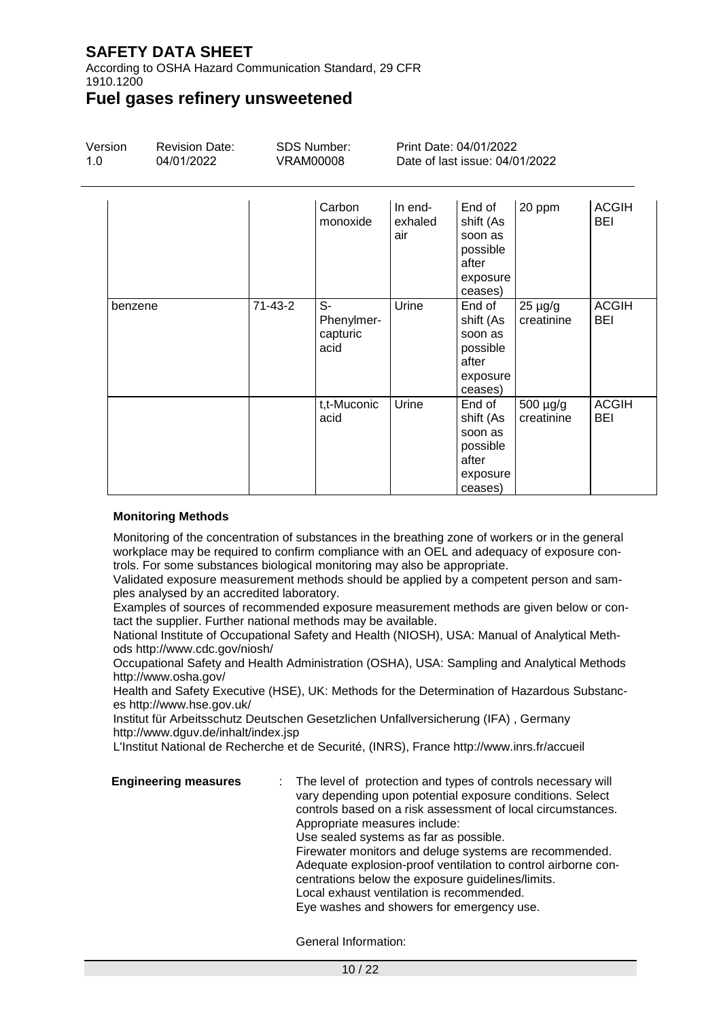According to OSHA Hazard Communication Standard, 29 CFR 1910.1200

### **Fuel gases refinery unsweetened**

| Version<br>1.0 | <b>Revision Date:</b><br>04/01/2022 | <b>SDS Number:</b><br><b>VRAM00008</b> |                                      | Print Date: 04/01/2022<br>Date of last issue: 04/01/2022 |                                                                            |                            |                            |  |
|----------------|-------------------------------------|----------------------------------------|--------------------------------------|----------------------------------------------------------|----------------------------------------------------------------------------|----------------------------|----------------------------|--|
|                |                                     |                                        | Carbon<br>monoxide                   | In end-<br>exhaled<br>air                                | End of<br>shift (As<br>soon as<br>possible<br>after<br>exposure<br>ceases) | 20 ppm                     | <b>ACGIH</b><br>BEI        |  |
| benzene        |                                     | $71 - 43 - 2$                          | S-<br>Phenylmer-<br>capturic<br>acid | Urine                                                    | End of<br>shift (As<br>soon as<br>possible<br>after<br>exposure<br>ceases) | $25 \mu g/g$<br>creatinine | <b>ACGIH</b><br><b>BEI</b> |  |
|                |                                     |                                        | t,t-Muconic<br>acid                  | Urine                                                    | End of<br>shift (As<br>soon as<br>possible<br>after<br>exposure<br>ceases) | 500 µg/g<br>creatinine     | <b>ACGIH</b><br><b>BEI</b> |  |

#### **Monitoring Methods**

Monitoring of the concentration of substances in the breathing zone of workers or in the general workplace may be required to confirm compliance with an OEL and adequacy of exposure controls. For some substances biological monitoring may also be appropriate.

Validated exposure measurement methods should be applied by a competent person and samples analysed by an accredited laboratory.

Examples of sources of recommended exposure measurement methods are given below or contact the supplier. Further national methods may be available.

National Institute of Occupational Safety and Health (NIOSH), USA: Manual of Analytical Methods http://www.cdc.gov/niosh/

Occupational Safety and Health Administration (OSHA), USA: Sampling and Analytical Methods http://www.osha.gov/

Health and Safety Executive (HSE), UK: Methods for the Determination of Hazardous Substances http://www.hse.gov.uk/

Institut für Arbeitsschutz Deutschen Gesetzlichen Unfallversicherung (IFA) , Germany http://www.dguv.de/inhalt/index.jsp

L'Institut National de Recherche et de Securité, (INRS), France http://www.inrs.fr/accueil

**Engineering measures** : The level of protection and types of controls necessary will vary depending upon potential exposure conditions. Select controls based on a risk assessment of local circumstances. Appropriate measures include: Use sealed systems as far as possible. Firewater monitors and deluge systems are recommended. Adequate explosion-proof ventilation to control airborne concentrations below the exposure guidelines/limits. Local exhaust ventilation is recommended. Eye washes and showers for emergency use.

General Information: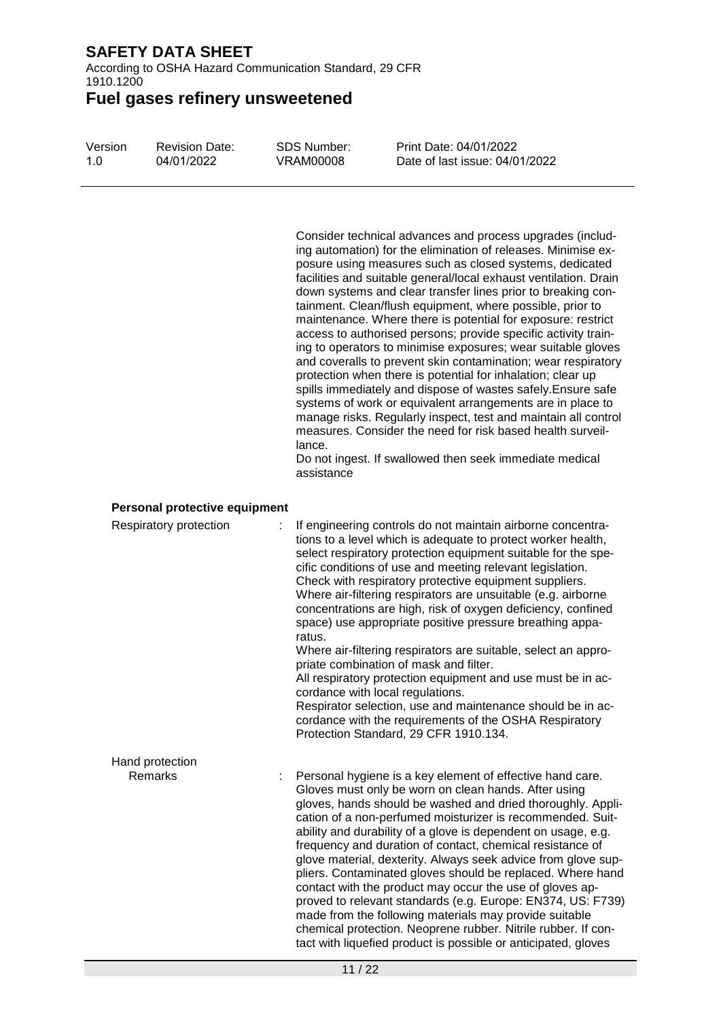According to OSHA Hazard Communication Standard, 29 CFR 1910.1200

**Fuel gases refinery unsweetened**

| Version | Revision Date: | SDS Number: | Print Date: 04/01/2022         |
|---------|----------------|-------------|--------------------------------|
| 1.0     | 04/01/2022     | VRAM00008   | Date of last issue: 04/01/2022 |

Consider technical advances and process upgrades (including automation) for the elimination of releases. Minimise exposure using measures such as closed systems, dedicated facilities and suitable general/local exhaust ventilation. Drain down systems and clear transfer lines prior to breaking containment. Clean/flush equipment, where possible, prior to maintenance. Where there is potential for exposure: restrict access to authorised persons; provide specific activity training to operators to minimise exposures; wear suitable gloves and coveralls to prevent skin contamination; wear respiratory protection when there is potential for inhalation; clear up spills immediately and dispose of wastes safely.Ensure safe systems of work or equivalent arrangements are in place to manage risks. Regularly inspect, test and maintain all control measures. Consider the need for risk based health surveillance.

Do not ingest. If swallowed then seek immediate medical assistance

#### **Personal protective equipment**

| Respiratory protection     | If engineering controls do not maintain airborne concentra-<br>tions to a level which is adequate to protect worker health,<br>select respiratory protection equipment suitable for the spe-<br>cific conditions of use and meeting relevant legislation.<br>Check with respiratory protective equipment suppliers.<br>Where air-filtering respirators are unsuitable (e.g. airborne<br>concentrations are high, risk of oxygen deficiency, confined<br>space) use appropriate positive pressure breathing appa-<br>ratus.<br>Where air-filtering respirators are suitable, select an appro-<br>priate combination of mask and filter.<br>All respiratory protection equipment and use must be in ac-<br>cordance with local regulations.<br>Respirator selection, use and maintenance should be in ac-<br>cordance with the requirements of the OSHA Respiratory<br>Protection Standard, 29 CFR 1910.134. |
|----------------------------|------------------------------------------------------------------------------------------------------------------------------------------------------------------------------------------------------------------------------------------------------------------------------------------------------------------------------------------------------------------------------------------------------------------------------------------------------------------------------------------------------------------------------------------------------------------------------------------------------------------------------------------------------------------------------------------------------------------------------------------------------------------------------------------------------------------------------------------------------------------------------------------------------------|
| Hand protection<br>Remarks | Personal hygiene is a key element of effective hand care.<br>Gloves must only be worn on clean hands. After using<br>gloves, hands should be washed and dried thoroughly. Appli-<br>cation of a non-perfumed moisturizer is recommended. Suit-<br>ability and durability of a glove is dependent on usage, e.g.<br>frequency and duration of contact, chemical resistance of<br>glove material, dexterity. Always seek advice from glove sup-<br>pliers. Contaminated gloves should be replaced. Where hand<br>contact with the product may occur the use of gloves ap-<br>proved to relevant standards (e.g. Europe: EN374, US: F739)<br>made from the following materials may provide suitable<br>chemical protection. Neoprene rubber. Nitrile rubber. If con-<br>tact with liquefied product is possible or anticipated, gloves                                                                        |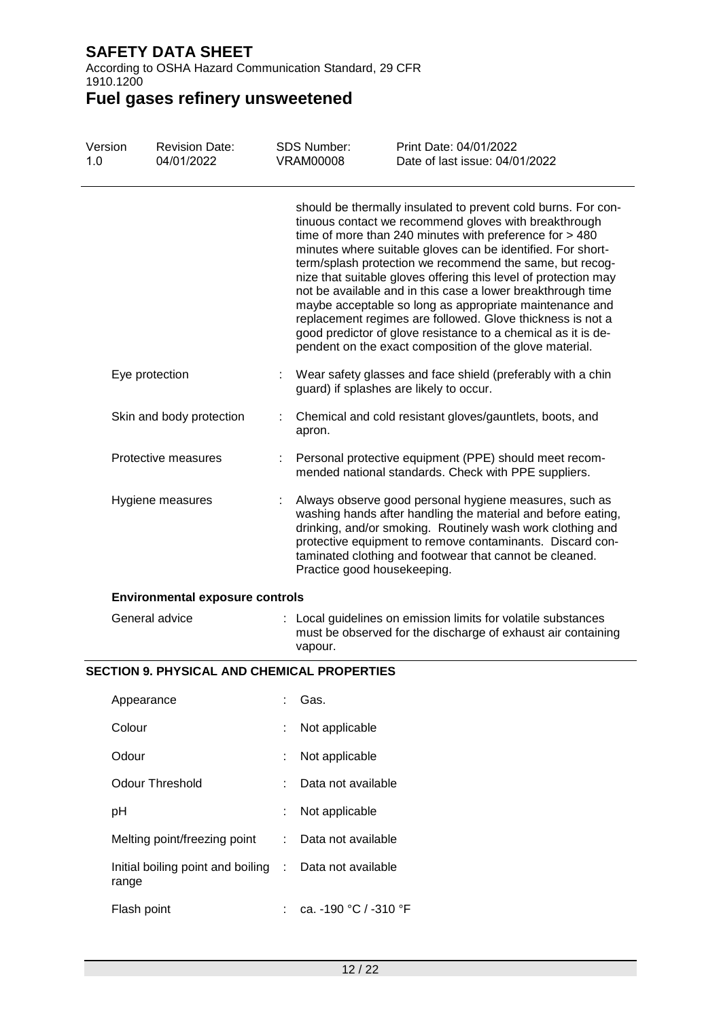According to OSHA Hazard Communication Standard, 29 CFR 1910.1200

**Fuel gases refinery unsweetened**

| Version<br>1.0 |                          | <b>Revision Date:</b><br>04/01/2022         | <b>SDS Number:</b><br><b>VRAM00008</b> | Print Date: 04/01/2022<br>Date of last issue: 04/01/2022                                                                                                                                                                                                                                                                                                                                                                                                                                                                                                                                                                                                                                            |
|----------------|--------------------------|---------------------------------------------|----------------------------------------|-----------------------------------------------------------------------------------------------------------------------------------------------------------------------------------------------------------------------------------------------------------------------------------------------------------------------------------------------------------------------------------------------------------------------------------------------------------------------------------------------------------------------------------------------------------------------------------------------------------------------------------------------------------------------------------------------------|
|                |                          |                                             |                                        | should be thermally insulated to prevent cold burns. For con-<br>tinuous contact we recommend gloves with breakthrough<br>time of more than 240 minutes with preference for > 480<br>minutes where suitable gloves can be identified. For short-<br>term/splash protection we recommend the same, but recog-<br>nize that suitable gloves offering this level of protection may<br>not be available and in this case a lower breakthrough time<br>maybe acceptable so long as appropriate maintenance and<br>replacement regimes are followed. Glove thickness is not a<br>good predictor of glove resistance to a chemical as it is de-<br>pendent on the exact composition of the glove material. |
|                | Eye protection           |                                             |                                        | Wear safety glasses and face shield (preferably with a chin<br>guard) if splashes are likely to occur.                                                                                                                                                                                                                                                                                                                                                                                                                                                                                                                                                                                              |
|                | Skin and body protection |                                             | apron.                                 | Chemical and cold resistant gloves/gauntlets, boots, and                                                                                                                                                                                                                                                                                                                                                                                                                                                                                                                                                                                                                                            |
|                |                          | Protective measures                         |                                        | Personal protective equipment (PPE) should meet recom-<br>mended national standards. Check with PPE suppliers.                                                                                                                                                                                                                                                                                                                                                                                                                                                                                                                                                                                      |
|                | Hygiene measures         |                                             | Practice good housekeeping.            | Always observe good personal hygiene measures, such as<br>washing hands after handling the material and before eating,<br>drinking, and/or smoking. Routinely wash work clothing and<br>protective equipment to remove contaminants. Discard con-<br>taminated clothing and footwear that cannot be cleaned.                                                                                                                                                                                                                                                                                                                                                                                        |
|                |                          | <b>Environmental exposure controls</b>      |                                        |                                                                                                                                                                                                                                                                                                                                                                                                                                                                                                                                                                                                                                                                                                     |
|                |                          | General advice                              | vapour.                                | : Local guidelines on emission limits for volatile substances<br>must be observed for the discharge of exhaust air containing                                                                                                                                                                                                                                                                                                                                                                                                                                                                                                                                                                       |
|                |                          | SECTION 9. PHYSICAL AND CHEMICAL PROPERTIES |                                        |                                                                                                                                                                                                                                                                                                                                                                                                                                                                                                                                                                                                                                                                                                     |
|                | Appearance               |                                             | Gas.                                   |                                                                                                                                                                                                                                                                                                                                                                                                                                                                                                                                                                                                                                                                                                     |
|                | Colour                   |                                             | Not applicable                         |                                                                                                                                                                                                                                                                                                                                                                                                                                                                                                                                                                                                                                                                                                     |
|                | Odour                    |                                             | Not applicable                         |                                                                                                                                                                                                                                                                                                                                                                                                                                                                                                                                                                                                                                                                                                     |
|                |                          | <b>Odour Threshold</b>                      | Data not available                     |                                                                                                                                                                                                                                                                                                                                                                                                                                                                                                                                                                                                                                                                                                     |
|                | pH                       |                                             | Not applicable                         |                                                                                                                                                                                                                                                                                                                                                                                                                                                                                                                                                                                                                                                                                                     |
|                |                          | Melting point/freezing point                | Data not available                     |                                                                                                                                                                                                                                                                                                                                                                                                                                                                                                                                                                                                                                                                                                     |
|                | range                    | Initial boiling point and boiling           | Data not available                     |                                                                                                                                                                                                                                                                                                                                                                                                                                                                                                                                                                                                                                                                                                     |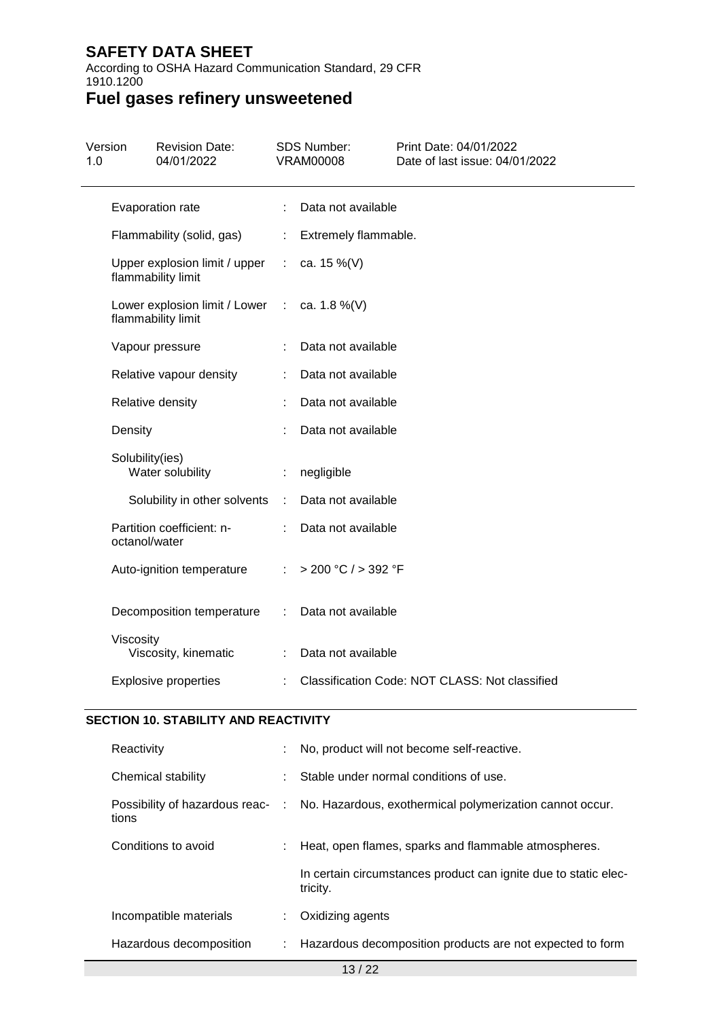According to OSHA Hazard Communication Standard, 29 CFR 1910.1200

# **Fuel gases refinery unsweetened**

| Version<br>1.0 | <b>Revision Date:</b><br>04/01/2022                                |    | SDS Number:<br><b>VRAM00008</b> | Print Date: 04/01/2022<br>Date of last issue: 04/01/2022 |
|----------------|--------------------------------------------------------------------|----|---------------------------------|----------------------------------------------------------|
|                | Evaporation rate                                                   | ÷. | Data not available              |                                                          |
|                | Flammability (solid, gas)                                          | ÷  | Extremely flammable.            |                                                          |
|                | Upper explosion limit / upper<br>flammability limit                | ÷. | ca. 15 %(V)                     |                                                          |
|                | Lower explosion limit / Lower : ca. 1.8 %(V)<br>flammability limit |    |                                 |                                                          |
|                | Vapour pressure                                                    |    | Data not available              |                                                          |
|                | Relative vapour density                                            | ÷  | Data not available              |                                                          |
|                | Relative density                                                   |    | Data not available              |                                                          |
| Density        |                                                                    |    | Data not available              |                                                          |
|                | Solubility(ies)<br>Water solubility                                | t  | negligible                      |                                                          |
|                | Solubility in other solvents                                       | ÷  | Data not available              |                                                          |
|                | Partition coefficient: n-<br>octanol/water                         |    | Data not available              |                                                          |
|                | Auto-ignition temperature                                          | t. | > 200 °C / > 392 °F             |                                                          |
|                | Decomposition temperature                                          | ÷  | Data not available              |                                                          |
|                | Viscosity<br>Viscosity, kinematic                                  | ÷  | Data not available              |                                                          |
|                | <b>Explosive properties</b>                                        |    |                                 | Classification Code: NOT CLASS: Not classified           |

### **SECTION 10. STABILITY AND REACTIVITY**

| Reactivity                                |    | No, product will not become self-reactive.                                  |
|-------------------------------------------|----|-----------------------------------------------------------------------------|
| Chemical stability                        |    | Stable under normal conditions of use.                                      |
| Possibility of hazardous reac- :<br>tions |    | No. Hazardous, exothermical polymerization cannot occur.                    |
| Conditions to avoid                       |    | Heat, open flames, sparks and flammable atmospheres.                        |
|                                           |    | In certain circumstances product can ignite due to static elec-<br>tricity. |
| Incompatible materials                    | ÷  | Oxidizing agents                                                            |
| Hazardous decomposition                   | t. | Hazardous decomposition products are not expected to form                   |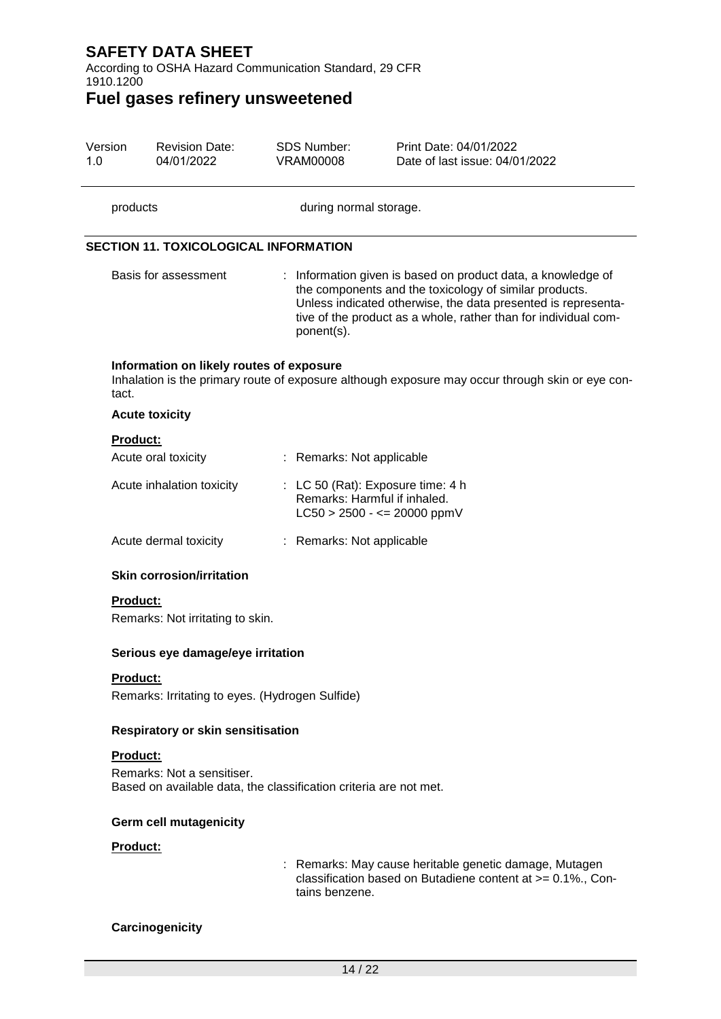According to OSHA Hazard Communication Standard, 29 CFR 1910.1200

# **Fuel gases refinery unsweetened**

| Version<br>1.0 | <b>Revision Date:</b><br>04/01/2022                         | <b>SDS Number:</b><br><b>VRAM00008</b>                                                                                                                                                                                                                                 | Print Date: 04/01/2022<br>Date of last issue: 04/01/2022 |  |  |  |  |  |
|----------------|-------------------------------------------------------------|------------------------------------------------------------------------------------------------------------------------------------------------------------------------------------------------------------------------------------------------------------------------|----------------------------------------------------------|--|--|--|--|--|
|                | products                                                    | during normal storage.                                                                                                                                                                                                                                                 |                                                          |  |  |  |  |  |
|                | <b>SECTION 11. TOXICOLOGICAL INFORMATION</b>                |                                                                                                                                                                                                                                                                        |                                                          |  |  |  |  |  |
|                | Basis for assessment                                        | Information given is based on product data, a knowledge of<br>the components and the toxicology of similar products.<br>Unless indicated otherwise, the data presented is representa-<br>tive of the product as a whole, rather than for individual com-<br>ponent(s). |                                                          |  |  |  |  |  |
| tact.          | Information on likely routes of exposure                    | Inhalation is the primary route of exposure although exposure may occur through skin or eye con-                                                                                                                                                                       |                                                          |  |  |  |  |  |
|                | <b>Acute toxicity</b>                                       |                                                                                                                                                                                                                                                                        |                                                          |  |  |  |  |  |
|                | <b>Product:</b>                                             |                                                                                                                                                                                                                                                                        |                                                          |  |  |  |  |  |
|                | Acute oral toxicity                                         | : Remarks: Not applicable                                                                                                                                                                                                                                              |                                                          |  |  |  |  |  |
|                | Acute inhalation toxicity                                   | : LC 50 (Rat): Exposure time: 4 h<br>Remarks: Harmful if inhaled.<br>$LC50 > 2500 - \le 20000$ ppmV<br>: Remarks: Not applicable                                                                                                                                       |                                                          |  |  |  |  |  |
|                | Acute dermal toxicity                                       |                                                                                                                                                                                                                                                                        |                                                          |  |  |  |  |  |
|                | <b>Skin corrosion/irritation</b>                            |                                                                                                                                                                                                                                                                        |                                                          |  |  |  |  |  |
|                | Product:                                                    |                                                                                                                                                                                                                                                                        |                                                          |  |  |  |  |  |
|                | Remarks: Not irritating to skin.                            |                                                                                                                                                                                                                                                                        |                                                          |  |  |  |  |  |
|                | Serious eye damage/eye irritation                           |                                                                                                                                                                                                                                                                        |                                                          |  |  |  |  |  |
|                | Product:<br>Remarks: Irritating to eyes. (Hydrogen Sulfide) |                                                                                                                                                                                                                                                                        |                                                          |  |  |  |  |  |
|                | <b>Respiratory or skin sensitisation</b>                    |                                                                                                                                                                                                                                                                        |                                                          |  |  |  |  |  |
|                | <b>Product:</b><br>Remarks: Not a sensitiser.               | Based on available data, the classification criteria are not met.                                                                                                                                                                                                      |                                                          |  |  |  |  |  |
|                | <b>Germ cell mutagenicity</b>                               |                                                                                                                                                                                                                                                                        |                                                          |  |  |  |  |  |
|                | Product:                                                    |                                                                                                                                                                                                                                                                        |                                                          |  |  |  |  |  |
|                |                                                             | : Remarks: May cause heritable genetic damage, Mutagen<br>classification based on Butadiene content at >= 0.1%., Con-<br>tains benzene.                                                                                                                                |                                                          |  |  |  |  |  |
|                | Carcinogenicity                                             |                                                                                                                                                                                                                                                                        |                                                          |  |  |  |  |  |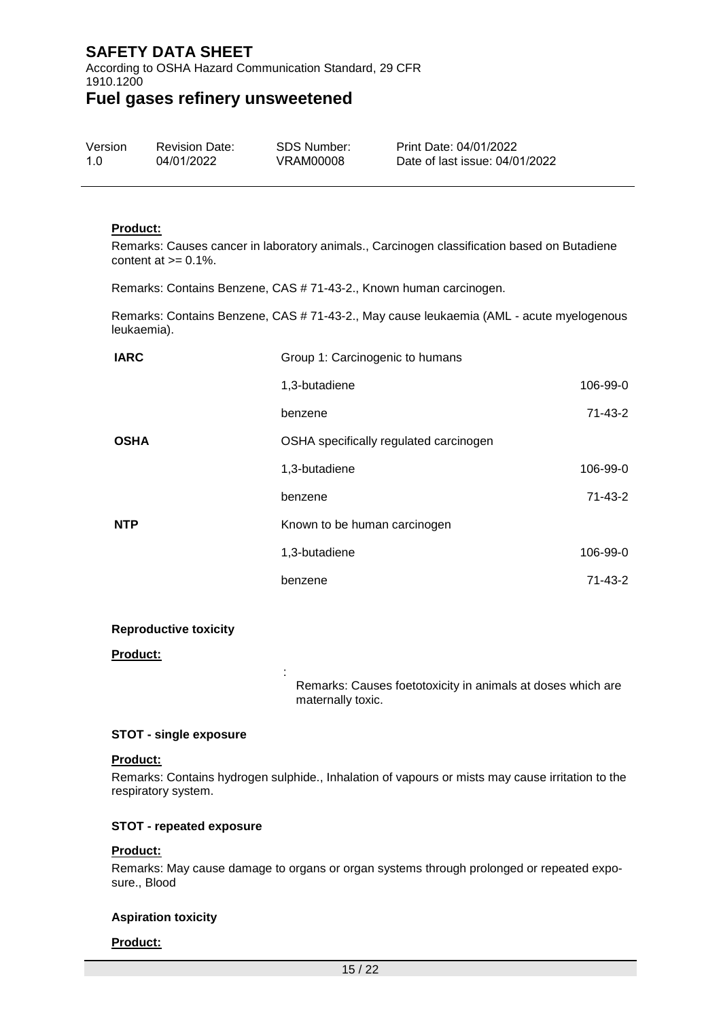According to OSHA Hazard Communication Standard, 29 CFR 1910.1200

### **Fuel gases refinery unsweetened**

| Version | <b>Revision Date:</b> | SDS Number: | Print Date: 04/01/2022         |
|---------|-----------------------|-------------|--------------------------------|
| 1.0     | 04/01/2022            | VRAM00008   | Date of last issue: 04/01/2022 |

#### **Product:**

Remarks: Causes cancer in laboratory animals., Carcinogen classification based on Butadiene content at  $>= 0.1\%$ .

Remarks: Contains Benzene, CAS # 71-43-2., Known human carcinogen.

:

Remarks: Contains Benzene, CAS # 71-43-2., May cause leukaemia (AML - acute myelogenous leukaemia).

| <b>IARC</b> | Group 1: Carcinogenic to humans        |               |
|-------------|----------------------------------------|---------------|
|             | 1,3-butadiene                          | 106-99-0      |
|             | benzene                                | $71 - 43 - 2$ |
| <b>OSHA</b> | OSHA specifically regulated carcinogen |               |
|             | 1,3-butadiene                          | 106-99-0      |
|             | benzene                                | $71 - 43 - 2$ |
| <b>NTP</b>  | Known to be human carcinogen           |               |
|             | 1,3-butadiene                          | 106-99-0      |
|             | benzene                                | $71 - 43 - 2$ |

#### **Reproductive toxicity**

#### **Product:**

Remarks: Causes foetotoxicity in animals at doses which are maternally toxic.

#### **STOT - single exposure**

#### **Product:**

Remarks: Contains hydrogen sulphide., Inhalation of vapours or mists may cause irritation to the respiratory system.

#### **STOT - repeated exposure**

#### **Product:**

Remarks: May cause damage to organs or organ systems through prolonged or repeated exposure., Blood

#### **Aspiration toxicity**

#### **Product:**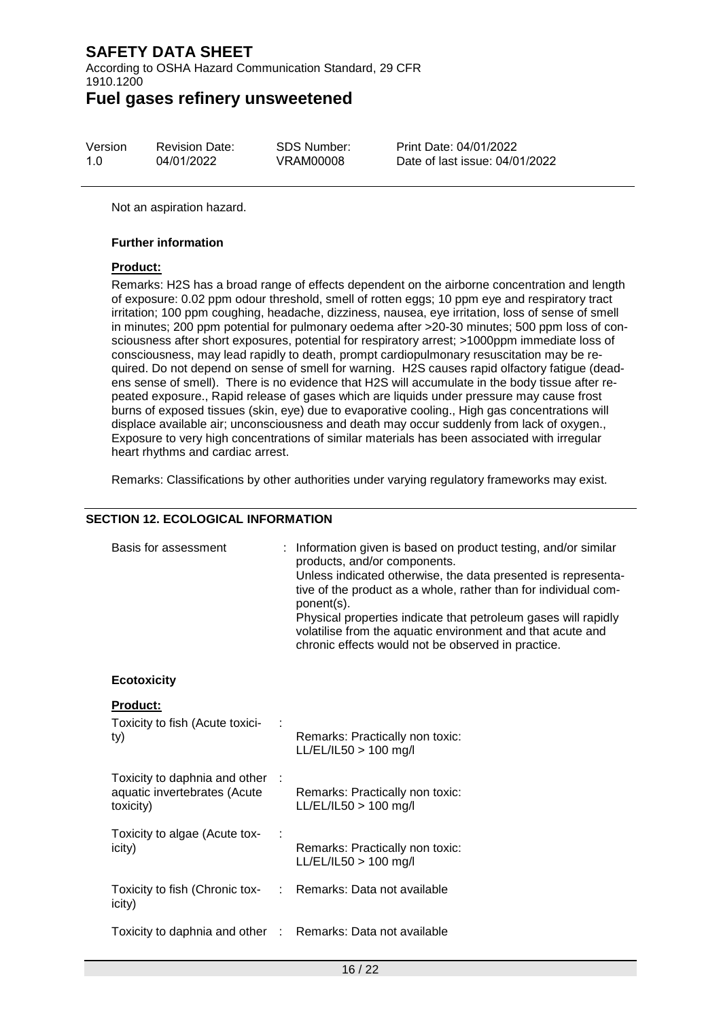According to OSHA Hazard Communication Standard, 29 CFR 1910.1200

### **Fuel gases refinery unsweetened**

| Version | <b>Revision Date:</b> | SDS Number: | Print Date: 04/01/2022         |
|---------|-----------------------|-------------|--------------------------------|
| 1.0     | 04/01/2022            | VRAM00008   | Date of last issue: 04/01/2022 |

Not an aspiration hazard.

#### **Further information**

#### **Product:**

Remarks: H2S has a broad range of effects dependent on the airborne concentration and length of exposure: 0.02 ppm odour threshold, smell of rotten eggs; 10 ppm eye and respiratory tract irritation; 100 ppm coughing, headache, dizziness, nausea, eye irritation, loss of sense of smell in minutes; 200 ppm potential for pulmonary oedema after >20-30 minutes; 500 ppm loss of consciousness after short exposures, potential for respiratory arrest; >1000ppm immediate loss of consciousness, may lead rapidly to death, prompt cardiopulmonary resuscitation may be required. Do not depend on sense of smell for warning. H2S causes rapid olfactory fatigue (deadens sense of smell). There is no evidence that H2S will accumulate in the body tissue after repeated exposure., Rapid release of gases which are liquids under pressure may cause frost burns of exposed tissues (skin, eye) due to evaporative cooling., High gas concentrations will displace available air; unconsciousness and death may occur suddenly from lack of oxygen., Exposure to very high concentrations of similar materials has been associated with irregular heart rhythms and cardiac arrest.

Remarks: Classifications by other authorities under varying regulatory frameworks may exist.

#### **SECTION 12. ECOLOGICAL INFORMATION**

| Basis for assessment                                                         | : Information given is based on product testing, and/or similar<br>products, and/or components.<br>Unless indicated otherwise, the data presented is representa-<br>tive of the product as a whole, rather than for individual com-<br>ponent(s).<br>Physical properties indicate that petroleum gases will rapidly<br>volatilise from the aquatic environment and that acute and<br>chronic effects would not be observed in practice. |  |
|------------------------------------------------------------------------------|-----------------------------------------------------------------------------------------------------------------------------------------------------------------------------------------------------------------------------------------------------------------------------------------------------------------------------------------------------------------------------------------------------------------------------------------|--|
| <b>Ecotoxicity</b>                                                           |                                                                                                                                                                                                                                                                                                                                                                                                                                         |  |
| <b>Product:</b><br>Toxicity to fish (Acute toxici-<br>ty)                    | Remarks: Practically non toxic:<br>LL/EL/IL50 > 100 mg/l                                                                                                                                                                                                                                                                                                                                                                                |  |
| Toxicity to daphnia and other :<br>aquatic invertebrates (Acute<br>toxicity) | Remarks: Practically non toxic:<br>$LL/EL/IL50 > 100$ mg/l                                                                                                                                                                                                                                                                                                                                                                              |  |
| Toxicity to algae (Acute tox-<br>icity)                                      | Remarks: Practically non toxic:<br>$LL/EL/IL50 > 100$ mg/l                                                                                                                                                                                                                                                                                                                                                                              |  |
| Toxicity to fish (Chronic tox- : Remarks: Data not available<br>icity)       |                                                                                                                                                                                                                                                                                                                                                                                                                                         |  |
| Toxicity to daphnia and other : Remarks: Data not available                  |                                                                                                                                                                                                                                                                                                                                                                                                                                         |  |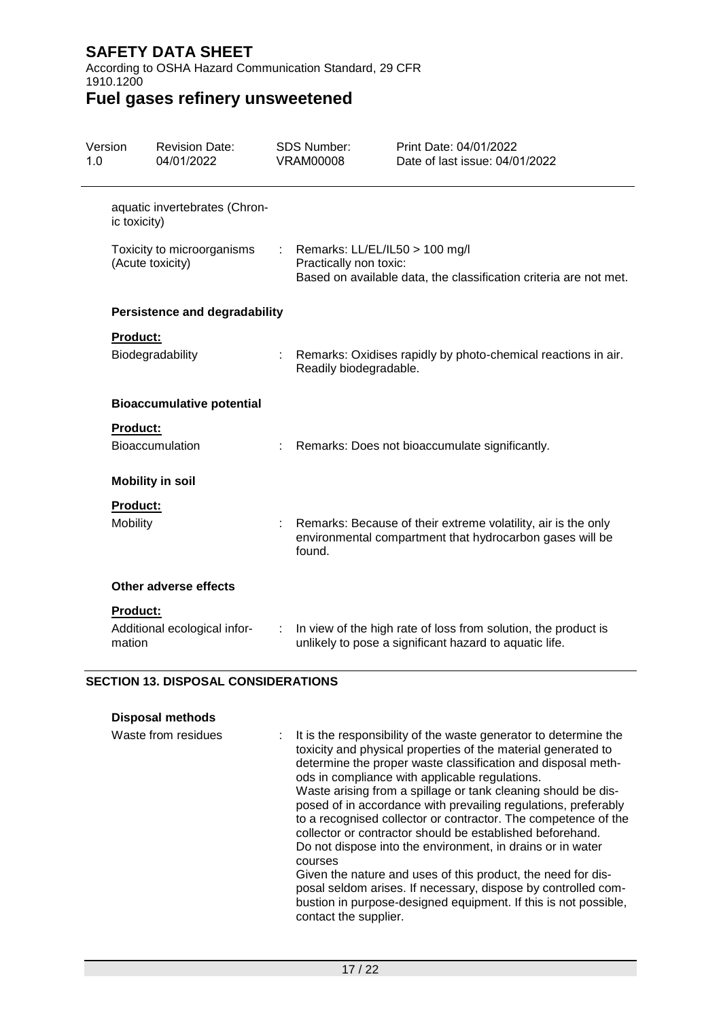According to OSHA Hazard Communication Standard, 29 CFR 1910.1200

# **Fuel gases refinery unsweetened**

| Version<br>1.0 |                                                                                                 | <b>Revision Date:</b><br>04/01/2022  |                                                                                         | SDS Number:<br><b>VRAM00008</b>                              | Print Date: 04/01/2022<br>Date of last issue: 04/01/2022                                                                  |
|----------------|-------------------------------------------------------------------------------------------------|--------------------------------------|-----------------------------------------------------------------------------------------|--------------------------------------------------------------|---------------------------------------------------------------------------------------------------------------------------|
|                | aquatic invertebrates (Chron-<br>ic toxicity)<br>Toxicity to microorganisms<br>(Acute toxicity) |                                      |                                                                                         |                                                              |                                                                                                                           |
|                |                                                                                                 |                                      |                                                                                         | : Remarks: $LL/EL/IL50 > 100$ mg/l<br>Practically non toxic: | Based on available data, the classification criteria are not met.                                                         |
|                |                                                                                                 | <b>Persistence and degradability</b> |                                                                                         |                                                              |                                                                                                                           |
|                | <b>Product:</b><br>Biodegradability<br><b>Bioaccumulative potential</b>                         |                                      | Remarks: Oxidises rapidly by photo-chemical reactions in air.<br>Readily biodegradable. |                                                              |                                                                                                                           |
|                |                                                                                                 |                                      |                                                                                         |                                                              |                                                                                                                           |
|                | Product:<br><b>Bioaccumulation</b>                                                              |                                      |                                                                                         |                                                              | Remarks: Does not bioaccumulate significantly.                                                                            |
|                |                                                                                                 | <b>Mobility in soil</b>              |                                                                                         |                                                              |                                                                                                                           |
|                | Product:<br>Mobility                                                                            |                                      |                                                                                         | found.                                                       | Remarks: Because of their extreme volatility, air is the only<br>environmental compartment that hydrocarbon gases will be |
|                | <b>Other adverse effects</b>                                                                    |                                      |                                                                                         |                                                              |                                                                                                                           |
|                | <b>Product:</b><br>mation                                                                       | Additional ecological infor-         | ÷                                                                                       |                                                              | In view of the high rate of loss from solution, the product is<br>unlikely to pose a significant hazard to aquatic life.  |

### **SECTION 13. DISPOSAL CONSIDERATIONS**

#### **Disposal methods**

| Waste from residues | It is the responsibility of the waste generator to determine the<br>toxicity and physical properties of the material generated to<br>determine the proper waste classification and disposal meth-<br>ods in compliance with applicable regulations.<br>Waste arising from a spillage or tank cleaning should be dis-<br>posed of in accordance with prevailing regulations, preferably<br>to a recognised collector or contractor. The competence of the<br>collector or contractor should be established beforehand.<br>Do not dispose into the environment, in drains or in water<br>courses |
|---------------------|------------------------------------------------------------------------------------------------------------------------------------------------------------------------------------------------------------------------------------------------------------------------------------------------------------------------------------------------------------------------------------------------------------------------------------------------------------------------------------------------------------------------------------------------------------------------------------------------|
|                     | Given the nature and uses of this product, the need for dis-<br>posal seldom arises. If necessary, dispose by controlled com-<br>bustion in purpose-designed equipment. If this is not possible,<br>contact the supplier.                                                                                                                                                                                                                                                                                                                                                                      |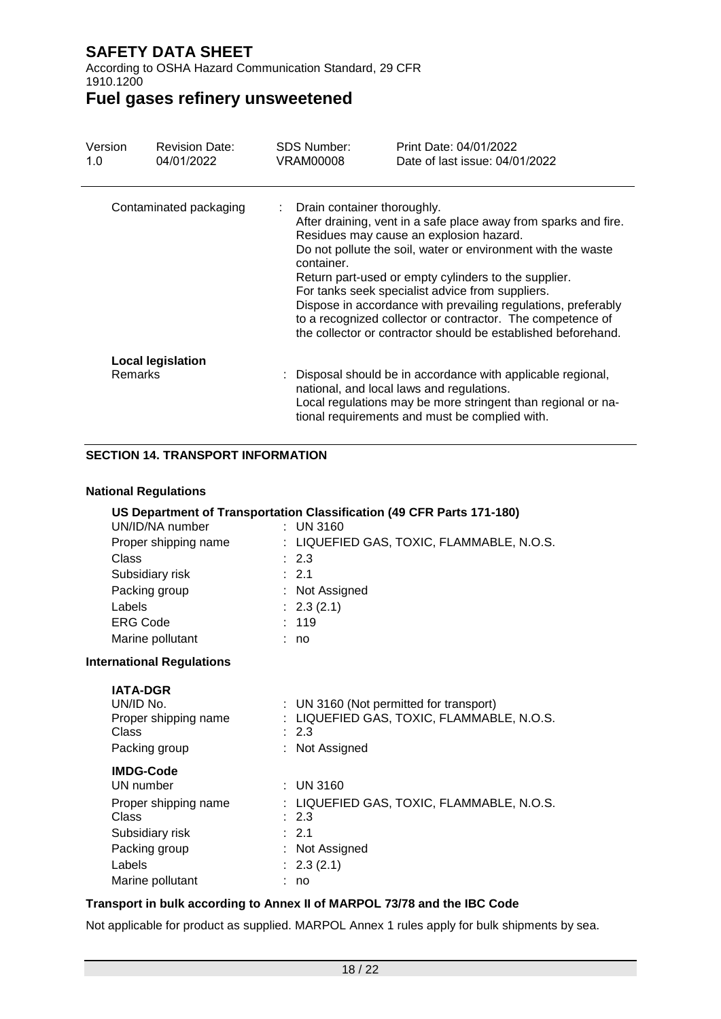According to OSHA Hazard Communication Standard, 29 CFR 1910.1200

## **Fuel gases refinery unsweetened**

| Version<br>1.0         | <b>Revision Date:</b><br>04/01/2022 | <b>SDS Number:</b><br>VRAM00008           | Print Date: 04/01/2022<br>Date of last issue: 04/01/2022                                                                                                                                                                                                                                                                                                                                                                                                                               |
|------------------------|-------------------------------------|-------------------------------------------|----------------------------------------------------------------------------------------------------------------------------------------------------------------------------------------------------------------------------------------------------------------------------------------------------------------------------------------------------------------------------------------------------------------------------------------------------------------------------------------|
| Contaminated packaging |                                     | Drain container thoroughly.<br>container. | After draining, vent in a safe place away from sparks and fire.<br>Residues may cause an explosion hazard.<br>Do not pollute the soil, water or environment with the waste<br>Return part-used or empty cylinders to the supplier.<br>For tanks seek specialist advice from suppliers.<br>Dispose in accordance with prevailing regulations, preferably<br>to a recognized collector or contractor. The competence of<br>the collector or contractor should be established beforehand. |
| <b>Remarks</b>         | <b>Local legislation</b>            |                                           | : Disposal should be in accordance with applicable regional,<br>national, and local laws and regulations.<br>Local regulations may be more stringent than regional or na-<br>tional requirements and must be complied with.                                                                                                                                                                                                                                                            |

#### **SECTION 14. TRANSPORT INFORMATION**

#### **National Regulations**

| US Department of Transportation Classification (49 CFR Parts 171-180) |    |                                           |  |  |  |
|-----------------------------------------------------------------------|----|-------------------------------------------|--|--|--|
| UN/ID/NA number                                                       |    | $:$ UN 3160                               |  |  |  |
| Proper shipping name                                                  |    | : LIQUEFIED GAS, TOXIC, FLAMMABLE, N.O.S. |  |  |  |
| Class                                                                 |    | : 2.3                                     |  |  |  |
| Subsidiary risk                                                       |    | $\therefore$ 2.1                          |  |  |  |
| Packing group                                                         |    | : Not Assigned                            |  |  |  |
| Labels                                                                |    | : 2.3(2.1)                                |  |  |  |
| <b>ERG Code</b>                                                       |    | : 119                                     |  |  |  |
| Marine pollutant                                                      | t. | no                                        |  |  |  |
| <b>International Regulations</b>                                      |    |                                           |  |  |  |
| <b>IATA-DGR</b>                                                       |    |                                           |  |  |  |
| UN/ID No.                                                             |    | : UN 3160 (Not permitted for transport)   |  |  |  |
| Proper shipping name                                                  |    | : LIQUEFIED GAS, TOXIC, FLAMMABLE, N.O.S. |  |  |  |
| Class                                                                 |    | : 2.3                                     |  |  |  |
| Packing group                                                         |    | : Not Assigned                            |  |  |  |
| <b>IMDG-Code</b>                                                      |    |                                           |  |  |  |
| UN number                                                             |    | $:$ UN 3160                               |  |  |  |
| Proper shipping name                                                  |    | : LIQUEFIED GAS, TOXIC, FLAMMABLE, N.O.S. |  |  |  |
| Class                                                                 |    | $\cdot$ 2.3                               |  |  |  |
| Subsidiary risk                                                       |    | $\therefore$ 2.1                          |  |  |  |
| Packing group                                                         |    | : Not Assigned                            |  |  |  |
| Labels                                                                |    | : 2.3(2.1)                                |  |  |  |
| Marine pollutant                                                      |    | no                                        |  |  |  |

#### **Transport in bulk according to Annex II of MARPOL 73/78 and the IBC Code**

Not applicable for product as supplied. MARPOL Annex 1 rules apply for bulk shipments by sea.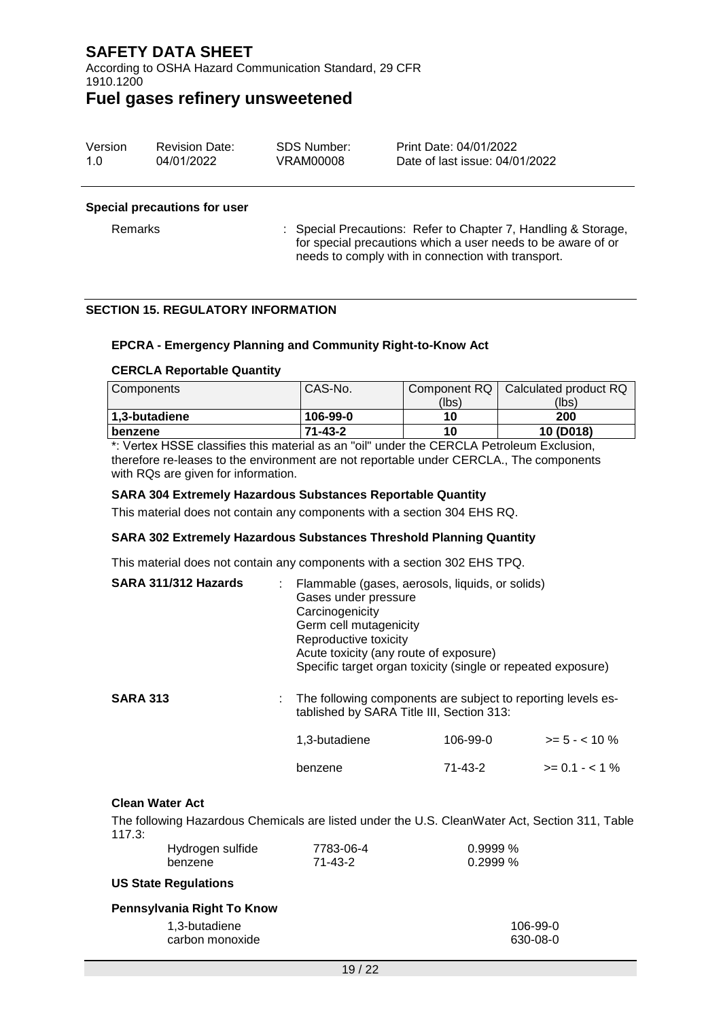According to OSHA Hazard Communication Standard, 29 CFR 1910.1200

### **Fuel gases refinery unsweetened**

| Version | <b>Revision Date:</b> | SDS Number: | Print Date: 04/01/2022         |
|---------|-----------------------|-------------|--------------------------------|
| 1.O     | 04/01/2022            | VRAM00008   | Date of last issue: 04/01/2022 |

#### **Special precautions for user**

Remarks : Special Precautions: Refer to Chapter 7, Handling & Storage, for special precautions which a user needs to be aware of or needs to comply with in connection with transport.

#### **SECTION 15. REGULATORY INFORMATION**

#### **EPCRA - Emergency Planning and Community Right-to-Know Act**

#### **CERCLA Reportable Quantity**

| Components    | CAS-No.       |       | Component RQ   Calculated product RQ |
|---------------|---------------|-------|--------------------------------------|
|               |               | (lbs) | (lbs)                                |
| 1.3-butadiene | 106-99-0      | 10    | 200                                  |
| benzene       | $71 - 43 - 2$ | 10    | 10 (D018)                            |

\*: Vertex HSSE classifies this material as an "oil" under the CERCLA Petroleum Exclusion, therefore re-leases to the environment are not reportable under CERCLA., The components with RQs are given for information.

#### **SARA 304 Extremely Hazardous Substances Reportable Quantity**

This material does not contain any components with a section 304 EHS RQ.

#### **SARA 302 Extremely Hazardous Substances Threshold Planning Quantity**

This material does not contain any components with a section 302 EHS TPQ.

| SARA 311/312 Hazards |                                                                                                           | : Flammable (gases, aerosols, liquids, or solids)<br>Gases under pressure<br>Carcinogenicity<br>Germ cell mutagenicity<br>Reproductive toxicity<br>Acute toxicity (any route of exposure)<br>Specific target organ toxicity (single or repeated exposure) |          |                  |
|----------------------|-----------------------------------------------------------------------------------------------------------|-----------------------------------------------------------------------------------------------------------------------------------------------------------------------------------------------------------------------------------------------------------|----------|------------------|
| <b>SARA 313</b>      | The following components are subject to reporting levels es-<br>tablished by SARA Title III, Section 313: |                                                                                                                                                                                                                                                           |          |                  |
|                      |                                                                                                           | 1,3-butadiene                                                                                                                                                                                                                                             | 106-99-0 | $>= 5 - < 10 \%$ |
|                      |                                                                                                           | benzene                                                                                                                                                                                                                                                   | 71-43-2  | $>= 0.1 - < 1\%$ |
|                      |                                                                                                           |                                                                                                                                                                                                                                                           |          |                  |

#### **Clean Water Act**

The following Hazardous Chemicals are listed under the U.S. CleanWater Act, Section 311, Table 117.3:

| Hydrogen sulfide | 7783-06-4 | $0.9999\,\%$ |
|------------------|-----------|--------------|
| benzene          | 71-43-2   | 0.2999 %     |

### **US State Regulations**

| Pennsylvania Right To Know |          |  |  |
|----------------------------|----------|--|--|
| 1,3-butadiene              | 106-99-0 |  |  |
| carbon monoxide            | 630-08-0 |  |  |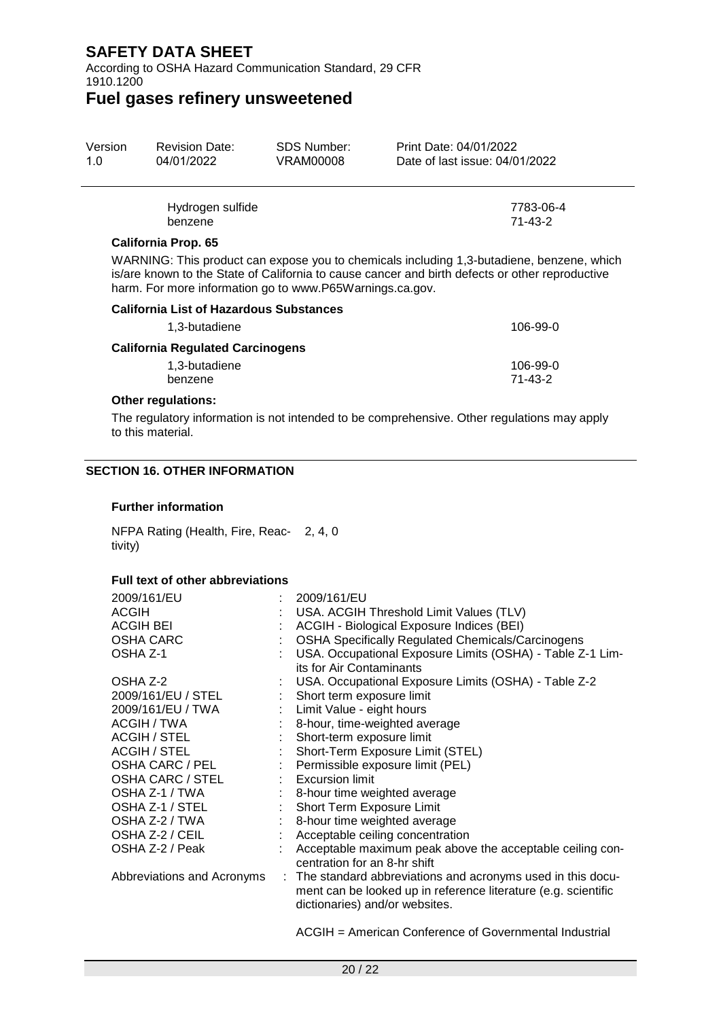According to OSHA Hazard Communication Standard, 29 CFR 1910.1200

### **Fuel gases refinery unsweetened**

| Version | <b>Revision Date:</b> | SDS Number: | Print Date: 04/01/2022         |
|---------|-----------------------|-------------|--------------------------------|
| 1 N     | 04/01/2022            | VRAM00008   | Date of last issue: 04/01/2022 |
|         | Hydrogen sulfide      |             | 7783-06-4                      |

| Tiyuloyan sulilud   | 7700-00- <del>1</del> |
|---------------------|-----------------------|
| benzene             | 71-43-2               |
| California Prop. 65 |                       |

WARNING: This product can expose you to chemicals including 1,3-butadiene, benzene, which is/are known to the State of California to cause cancer and birth defects or other reproductive harm. For more information go to www.P65Warnings.ca.gov.

| <b>California List of Hazardous Substances</b> |               |
|------------------------------------------------|---------------|
| 1,3-butadiene                                  | 106-99-0      |
| <b>California Regulated Carcinogens</b>        |               |
| 1.3-butadiene                                  | 106-99-0      |
| benzene                                        | $71 - 43 - 2$ |

#### **Other regulations:**

The regulatory information is not intended to be comprehensive. Other regulations may apply to this material.

### **SECTION 16. OTHER INFORMATION**

#### **Further information**

NFPA Rating (Health, Fire, Reac-2, 4, 0 tivity)

#### **Full text of other abbreviations**

| 2009/161/EU                |   | 2009/161/EU                                                    |
|----------------------------|---|----------------------------------------------------------------|
| <b>ACGIH</b>               |   | USA. ACGIH Threshold Limit Values (TLV)                        |
| <b>ACGIH BEI</b>           |   | ACGIH - Biological Exposure Indices (BEI)                      |
| <b>OSHA CARC</b>           |   | <b>OSHA Specifically Regulated Chemicals/Carcinogens</b>       |
| OSHA Z-1                   |   | USA. Occupational Exposure Limits (OSHA) - Table Z-1 Lim-      |
|                            |   | its for Air Contaminants                                       |
| OSHA Z-2                   |   | USA. Occupational Exposure Limits (OSHA) - Table Z-2           |
| 2009/161/EU / STEL         |   | Short term exposure limit                                      |
| 2009/161/EU / TWA          |   | Limit Value - eight hours                                      |
| ACGIH / TWA                |   | 8-hour, time-weighted average                                  |
| ACGIH / STEL               |   | Short-term exposure limit                                      |
| ACGIH / STEL               |   | Short-Term Exposure Limit (STEL)                               |
| OSHA CARC / PEL            | ÷ | Permissible exposure limit (PEL)                               |
| OSHA CARC / STEL           |   | : Excursion limit                                              |
| OSHA Z-1 / TWA             |   | 8-hour time weighted average                                   |
| OSHA Z-1 / STEL            |   | Short Term Exposure Limit                                      |
| OSHA Z-2 / TWA             |   | 8-hour time weighted average                                   |
| OSHA Z-2 / CEIL            |   | Acceptable ceiling concentration                               |
| OSHA Z-2 / Peak            |   | Acceptable maximum peak above the acceptable ceiling con-      |
|                            |   | centration for an 8-hr shift                                   |
| Abbreviations and Acronyms |   | : The standard abbreviations and acronyms used in this docu-   |
|                            |   | ment can be looked up in reference literature (e.g. scientific |
|                            |   | dictionaries) and/or websites.                                 |
|                            |   |                                                                |

ACGIH = American Conference of Governmental Industrial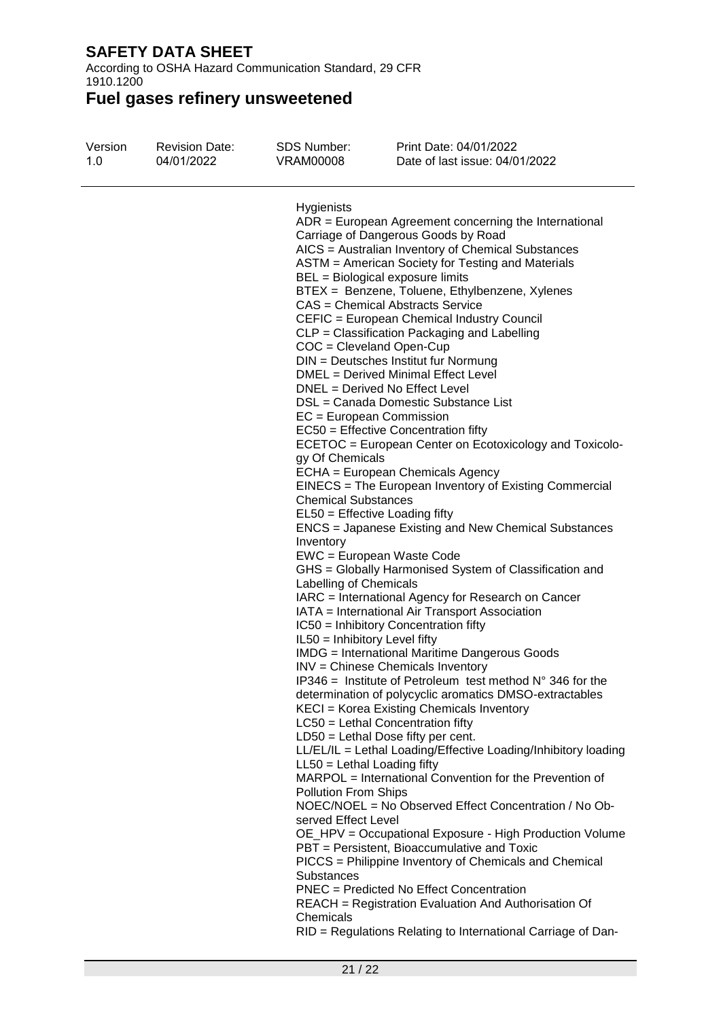According to OSHA Hazard Communication Standard, 29 CFR 1910.1200

**Fuel gases refinery unsweetened**

| Version<br>1.0 | <b>Revision Date:</b><br>04/01/2022 | <b>SDS Number:</b><br><b>VRAM00008</b> | Print Date: 04/01/2022<br>Date of last issue: 04/01/2022                                      |
|----------------|-------------------------------------|----------------------------------------|-----------------------------------------------------------------------------------------------|
|                |                                     | Hygienists                             |                                                                                               |
|                |                                     |                                        | $ADR = European Agreement concerning the International$                                       |
|                |                                     |                                        | Carriage of Dangerous Goods by Road                                                           |
|                |                                     |                                        | AICS = Australian Inventory of Chemical Substances                                            |
|                |                                     |                                        | ASTM = American Society for Testing and Materials                                             |
|                |                                     |                                        | BEL = Biological exposure limits                                                              |
|                |                                     |                                        | BTEX = Benzene, Toluene, Ethylbenzene, Xylenes                                                |
|                |                                     |                                        | <b>CAS</b> = Chemical Abstracts Service                                                       |
|                |                                     |                                        | CEFIC = European Chemical Industry Council                                                    |
|                |                                     |                                        | CLP = Classification Packaging and Labelling                                                  |
|                |                                     |                                        | $COC = C level$ and Open-Cup                                                                  |
|                |                                     |                                        | DIN = Deutsches Institut fur Normung                                                          |
|                |                                     |                                        | DMEL = Derived Minimal Effect Level                                                           |
|                |                                     |                                        | DNEL = Derived No Effect Level                                                                |
|                |                                     |                                        | DSL = Canada Domestic Substance List                                                          |
|                |                                     |                                        | EC = European Commission                                                                      |
|                |                                     |                                        | EC50 = Effective Concentration fifty                                                          |
|                |                                     |                                        | ECETOC = European Center on Ecotoxicology and Toxicolo-                                       |
|                |                                     | gy Of Chemicals                        |                                                                                               |
|                |                                     |                                        | ECHA = European Chemicals Agency                                                              |
|                |                                     |                                        | EINECS = The European Inventory of Existing Commercial                                        |
|                |                                     | <b>Chemical Substances</b>             |                                                                                               |
|                |                                     |                                        | EL50 = Effective Loading fifty<br><b>ENCS</b> = Japanese Existing and New Chemical Substances |
|                |                                     | Inventory                              |                                                                                               |
|                |                                     |                                        | EWC = European Waste Code                                                                     |
|                |                                     |                                        | GHS = Globally Harmonised System of Classification and                                        |
|                |                                     | Labelling of Chemicals                 |                                                                                               |
|                |                                     |                                        | IARC = International Agency for Research on Cancer                                            |
|                |                                     |                                        | IATA = International Air Transport Association                                                |
|                |                                     |                                        | IC50 = Inhibitory Concentration fifty                                                         |
|                |                                     | IL50 = Inhibitory Level fifty          |                                                                                               |
|                |                                     |                                        | <b>IMDG</b> = International Maritime Dangerous Goods                                          |
|                |                                     |                                        | INV = Chinese Chemicals Inventory                                                             |
|                |                                     |                                        | IP346 = Institute of Petroleum test method $N^{\circ}$ 346 for the                            |
|                |                                     |                                        | determination of polycyclic aromatics DMSO-extractables                                       |
|                |                                     |                                        | KECI = Korea Existing Chemicals Inventory                                                     |
|                |                                     |                                        | LC50 = Lethal Concentration fifty                                                             |
|                |                                     |                                        | $LD50 = Lethal Does fifty per cent.$                                                          |
|                |                                     |                                        | LL/EL/IL = Lethal Loading/Effective Loading/Inhibitory loading                                |
|                |                                     | $LL50 = Lethal$ Loading fifty          |                                                                                               |
|                |                                     |                                        | MARPOL = International Convention for the Prevention of                                       |
|                |                                     | <b>Pollution From Ships</b>            | NOEC/NOEL = No Observed Effect Concentration / No Ob-                                         |
|                |                                     | served Effect Level                    |                                                                                               |
|                |                                     |                                        | OE_HPV = Occupational Exposure - High Production Volume                                       |
|                |                                     |                                        | PBT = Persistent, Bioaccumulative and Toxic                                                   |
|                |                                     |                                        | PICCS = Philippine Inventory of Chemicals and Chemical                                        |
|                |                                     | Substances                             |                                                                                               |
|                |                                     |                                        | PNEC = Predicted No Effect Concentration                                                      |
|                |                                     |                                        | REACH = Registration Evaluation And Authorisation Of                                          |
|                |                                     | Chemicals                              |                                                                                               |
|                |                                     |                                        | RID = Regulations Relating to International Carriage of Dan-                                  |